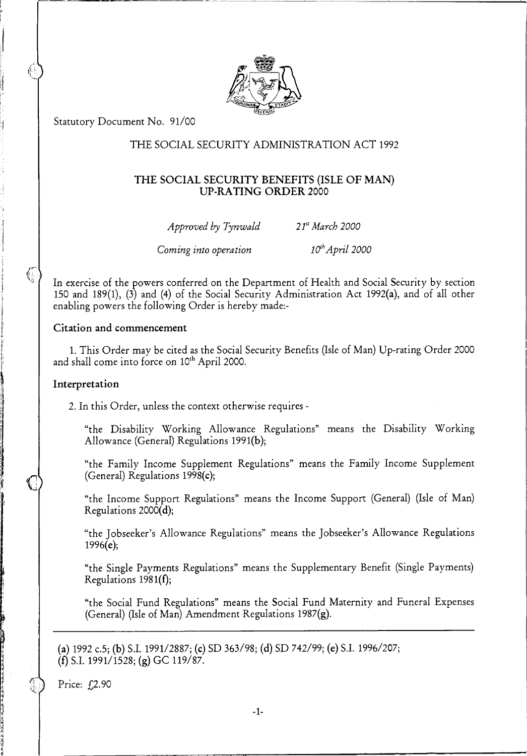

Statutory Document No. 91/00

#### THE SOCIAL SECURITY ADMINISTRATION ACT 1992

#### THE SOCIAL SECURITY BENEFITS (ISLE OF MAN) UP-RATING ORDER 2000

*Approved by Tynwald 21" March 2000* 

*Coming into operation* 10<sup>th</sup> April 2000

In exercise of the powers conferred on the Department of Health and Social Security by section 150 and 189(1), (3) and (4) of the Social Security Administration Act 1992(a), and of all other enabling powers the following Order is hereby made:-

#### Citation and commencement

1.This Order may be cited as the Social Security Benefits (Isle of Man) Up-rating Order 2000 and shall come into force on 10<sup>th</sup> April 2000.

#### Interpretation

 $\P_{b}$ 

2. In this Order, unless the context otherwise requires -

"the Disability Working Allowance Regulations" means the Disability Working Allowance (General) Regulations 1991(b);

"the Family Income Supplement Regulations" means the Family Income Supplement (General) Regulations 1998(c);

"the Income Support Regulations" means the Income Support (General) (Isle of Man) Regulations 2000(d);

"the Jobseeker's Allowance Regulations" means the Jobseeker's Allowance Regulations 1996(e);

"the Single Payments Regulations" means the Supplementary Benefit (Single Payments) Regulations 1981(f);

"the Social Fund Regulations" means the Social Fund Maternity and Funeral Expenses (General) (Isle of Man) Amendment Regulations 1987(g).

(a) 1992 c.5; (b) S.I. 1991/2887; (c) SD 363/98; (d) SD 742/99; (e) S.I. 1996/207;  $(f)$  S.I. 1991/1528; (g) GC 119/87.

Price: f.2.90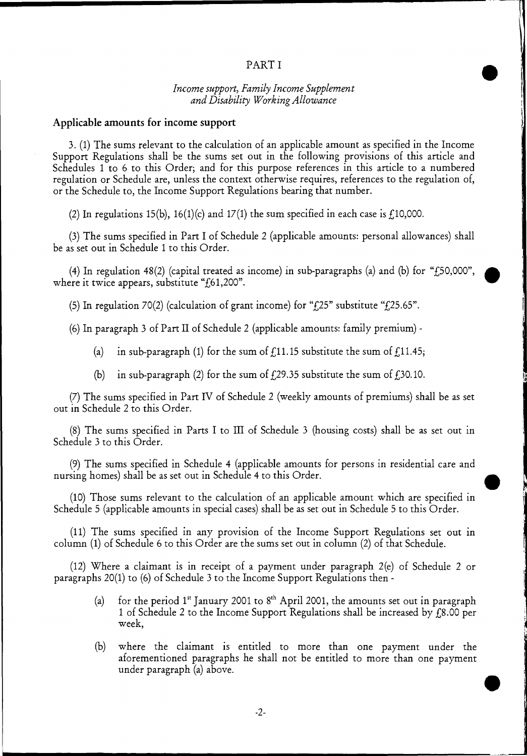#### PART I

#### *Income support, Family Income Supplement and Disability Working Allowance*

#### Applicable amounts for income support

3. (1) The sums relevant to the calculation of an applicable amount as specified in the Income Support Regulations shall be the sums set out in the following provisions of this article and Schedules 1 to 6 to this Order; and for this purpose references in this article to a numbered regulation or Schedule are, unless the context otherwise requires, references to the regulation of, or the Schedule to, the Income Support Regulations bearing that number.

(2) In regulations 15(b), 16(1)(c) and 17(1) the sum specified in each case is  $f<sub>i</sub>10,000$ .

(3) The sums specified in Part I of Schedule 2 (applicable amounts: personal allowances) shall be as set out in Schedule 1 to this Order.

(4) In regulation 48(2) (capital treated as income) in sub-paragraphs (a) and (b) for " $f$ 50,000", where it twice appears, substitute "f.61,200".

(5) In regulation 70(2) (calculation of grant income) for " $f$ (25" substitute " $f$ (25.65".

(6) In paragraph 3 of Part II of Schedule 2 (applicable amounts: family premium) -

(a) in sub-paragraph (1) for the sum of  $f(11.15)$  substitute the sum of  $f(11.45)$ ;

(b) in sub-paragraph (2) for the sum of  $f(29.35)$  substitute the sum of  $f(30.10)$ .

(7) The sums specified in Part IV of Schedule 2 (weekly amounts of premiums) shall be as set out in Schedule 2 to this Order.

(8) The sums specified in Parts I to III of Schedule 3 (housing costs) shall be as set out in Schedule 3 to this Order.

(9) The sums specified in Schedule 4 (applicable amounts for persons in residential care and nursing homes) shall be as set out in Schedule 4 to this Order.

(10) Those sums relevant to the calculation of an applicable amount which are specified in Schedule 5 (applicable amounts in special cases) shall be as set out in Schedule 5 to this Order.

(11) The sums specified in any provision of the Income Support Regulations set out in column (1) of Schedule 6 to this Order are the sums set out in column (2) of that Schedule.

(12) Where a claimant is in receipt of a payment under paragraph 2(e) of Schedule 2 or paragraphs 20(1) to (6) of Schedule 3 to the Income Support Regulations then -

- (a) for the period 1<sup>st</sup> January 2001 to  $8<sup>th</sup>$  April 2001, the amounts set out in paragraph 1 of Schedule 2 to the Income Support Regulations shall be increased by  $f(8.00)$  per week,
- (b) where the claimant is entitled to more than one payment under the aforementioned paragraphs he shall not be entitled to more than one payment under paragraph (a) above.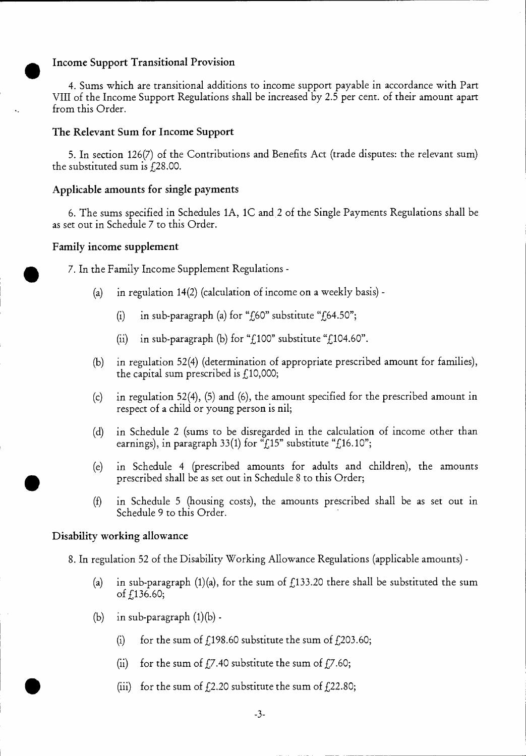#### • **Income Support Transitional Provision**

4. Sums which are transitional additions to income support payable in accordance with Part VIII of the Income Support Regulations shall be increased by 2.5 per cent. of their amount apart from this Order.

#### **The Relevant Sum for Income Support**

5. In section 126(7) of the Contributions and Benefits Act (trade disputes: the relevant sum) the substituted sum is  $f(28.00)$ .

#### **Applicable amounts for single payments**

6. The sums specified in Schedules 1A, 1C and 2 of the Single Payments Regulations shall be as set out in Schedule 7 to this Order.

#### **Family income supplement**

7. In the Family Income Supplement Regulations -

- (a) in regulation 14(2) (calculation of income on a weekly basis)
	- (i) in sub-paragraph (a) for " $f<sub>1</sub>60$ " substitute " $f<sub>1</sub>64.50$ ";
	- (ii) in sub-paragraph (b) for " $f<sub>100</sub>$ " substitute " $f<sub>104.60</sub>$ ".
- (b) in regulation 52(4) (determination of appropriate prescribed amount for families), the capital sum prescribed is £10,000;
- (c) in regulation 52(4), (5) and (6), the amount specified for the prescribed amount in respect of a child or young person is nil;
- (d) in Schedule 2 (sums to be disregarded in the calculation of income other than earnings), in paragraph 33(1) for " $f_1$ 15" substitute " $f_1$ 16.10";
- (e) in Schedule 4 (prescribed amounts for adults and children), the amounts prescribed shall be as set out in Schedule 8 to this Order;
- (f) in Schedule 5 (housing costs), the amounts prescribed shall be as set out in Schedule 9 to this Order.

#### **Disability working allowance**

8. In regulation 52 of the Disability Working Allowance Regulations (applicable amounts) -

- (a) in sub-paragraph (1)(a), for the sum of  $f<sub>1</sub>133.20$  there shall be substituted the sum of £136.60;
- (b) in sub-paragraph  $(1)(b)$ .
	- (i) for the sum of  $f_1$ 198.60 substitute the sum of  $f_2$ 203.60;
	- (ii) for the sum of  $f$ , 7.40 substitute the sum of  $f$ , 7.60;
	- (iii) for the sum of  $f(2.20)$  substitute the sum of  $f(22.80)$ ;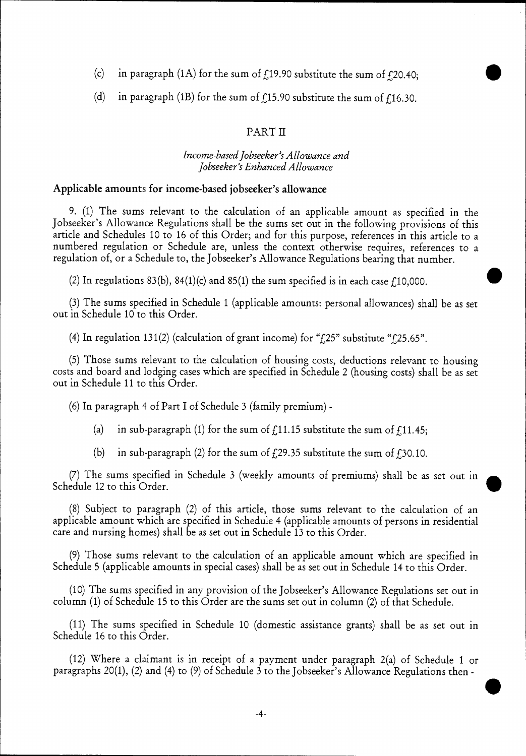(c) in paragraph (1A) for the sum of  $f_1$ 19.90 substitute the sum of  $f_2$ 20.40;

(d) in paragraph (1B) for the sum of  $f(15.90)$  substitute the sum of  $f(16.30)$ .

#### PART II

#### *Income-based Jobseeker's Allowance and Jobseeker's Enhanced Allowance*

#### Applicable amounts for income-based jobseeker's allowance

9. (1) The sums relevant to the calculation of an applicable amount as specified in the Jobseeker's Allowance Regulations shall be the sums set out in the following provisions of this article and Schedules 10 to 16 of this Order; and for this purpose, references in this article to a numbered regulation or Schedule are, unless the context otherwise requires, references to a regulation of, or a Schedule to, the Jobseeker's Allowance Regulations bearing that number.

•

•

•

(2) In regulations 83(b), 84(1)(c) and 85(1) the sum specified is in each case  $f$ 10,000.

(3)The sums specified in Schedule 1 (applicable amounts: personal allowances) shall be as set out in Schedule 10 to this Order.

(4) In regulation 131(2) (calculation of grant income) for " $f$ 25" substitute " $f$ 25.65".

(5) Those sums relevant to the calculation of housing costs, deductions relevant to housing costs and board and lodging cases which are specified in Schedule 2 (housing costs) shall be as set out in Schedule 11 to this Order.

(6) In paragraph 4 of Part I of Schedule 3 (family premium) -

- (a) in sub-paragraph (1) for the sum of  $f(11.15)$  substitute the sum of  $f(11.45)$ ;
- (b) in sub-paragraph (2) for the sum of  $f(29.35)$  substitute the sum of  $f(30.10)$ .

(7) The sums specified in Schedule 3 (weekly amounts of premiums) shall be as set out in Schedule 12 to this Order.

(8) Subject to paragraph (2) of this article, those sums relevant to the calculation of an applicable amount which are specified in Schedule 4 (applicable amounts of persons in residential care and nursing homes) shall be as set out in Schedule 13 to this Order.

(9) Those sums relevant to the calculation of an applicable amount which are specified in Schedule 5 (applicable amounts in special cases) shall be as set out in Schedule 14 to this Order.

(10) The sums specified in any provision of the Jobseeker's Allowance Regulations set out in column (1) of Schedule 15 to this Order are the sums set out in column (2) of that Schedule.

(11) The sums specified in Schedule 10 (domestic assistance grants) shall be as set out in Schedule 16 to this Order.

(12) Where a claimant is in receipt of a payment under paragraph 2(a) of Schedule 1 or paragraphs 20(1), (2) and (4) to (9) of Schedule 3 to the Jobseeker's Allowance Regulations then -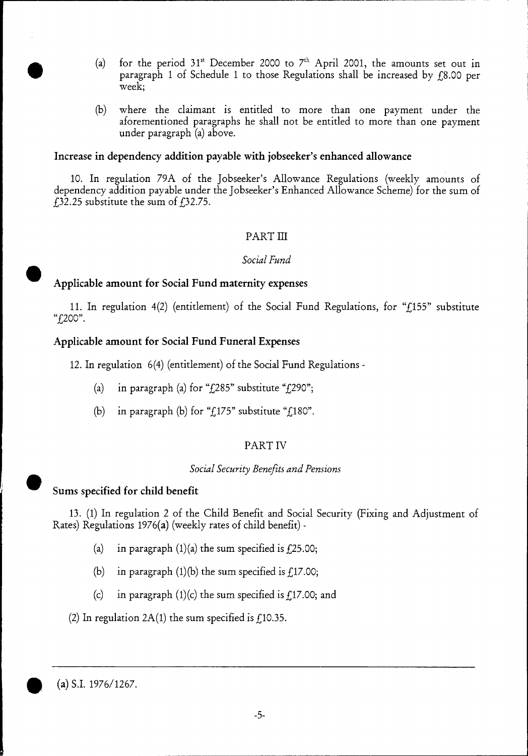- (a) for the period  $31^{\text{st}}$  December 2000 to  $7^{\text{th}}$  April 2001, the amounts set out in paragraph 1 of Schedule 1 to those Regulations shall be increased by £8.00 per week;
- (b) where the claimant is entitled to more than one payment under the aforementioned paragraphs he shall not be entitled to more than one payment under paragraph (a) above.

#### **Increase in dependency addition payable with jobseeker's enhanced allowance**

10. In regulation 79A of the Jobseeker's Allowance Regulations (weekly amounts of dependency addition payable under the Jobseeker's Enhanced Allowance Scheme) for the sum of  $f$ 32.25 substitute the sum of  $f$ 32.75.

#### PART III

#### *Social Fund*

#### **Applicable amount for Social Fund maternity expenses**

11. In regulation  $4(2)$  (entitlement) of the Social Fund Regulations, for " $f(155)$ " substitute "f,200".

#### **Applicable amount for Social Fund Funeral Expenses**

12. In regulation 6(4) (entitlement) of the Social Fund Regulations -

- (a) in paragraph (a) for " $f(285)$ " substitute " $f(290)$ ";
- (b) in paragraph (b) for " $f<sub>1</sub>175$ " substitute " $f<sub>1</sub>180$ ".

#### PART IV

#### *Social Security Benefits and Pensions*

#### **Sums specified for child benefit**

13. (1) In regulation 2 of the Child Benefit and Social Security (Fixing and Adjustment of Rates) Regulations 1976(a) (weekly rates of child benefit) -

- (a) in paragraph  $(1)(a)$  the sum specified is  $f(25.00;$
- (b) in paragraph  $(1)(b)$  the sum specified is  $f<sub>17.00</sub>$ ;
- (c) in paragraph  $(1)(c)$  the sum specified is  $f<sub>1</sub>17.00$ ; and

(2) In regulation 2A(1) the sum specified is  $f<sub>1</sub>10.35$ .

#### **(a)** S.I. 1976/1267.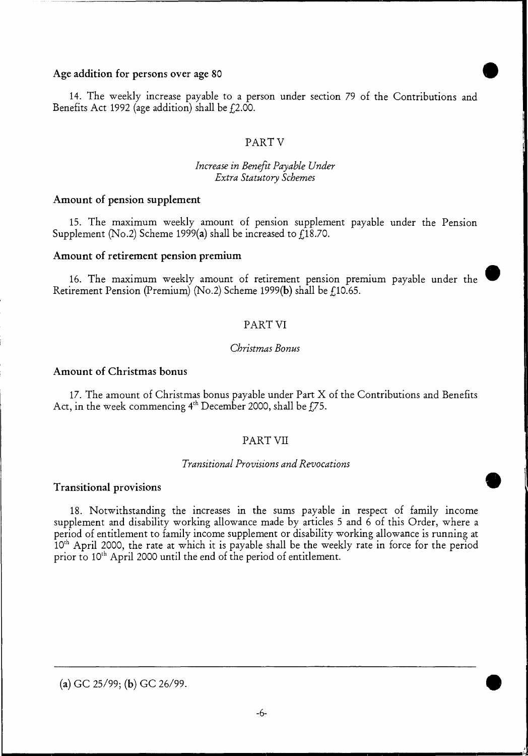#### Age addition for persons over age 80

14. The weekly increase payable to a person under section 79 of the Contributions and Benefits Act 1992 (age addition) shall be  $f(2.00)$ .

#### PART V

#### *Increase in Benefit Payable Under Extra Statutory Schemes*

#### Amount of pension supplement

15. The maximum weekly amount of pension supplement payable under the Pension Supplement (No.2) Scheme 1999(a) shall be increased to  $f(18.70.$ 

#### Amount of retirement pension premium

16. The maximum weekly amount of retirement pension premium payable under the • Retirement Pension (Premium) (No.2) Scheme 1999(b) shall be £10.65.

#### PART VI

#### *Christmas Bonus*

#### Amount of Christmas bonus

17. The amount of Christmas bonus payable under Part X of the Contributions and Benefits Act, in the week commencing  $4<sup>th</sup>$  December 2000, shall be  $f(75)$ .

#### PART VII

#### *Transitional Provisions and Revocations*

#### Transitional provisions

18. Notwithstanding the increases in the sums payable in respect of family income supplement and disability working allowance made by articles 5 and 6 of this Order, where a period of entitlement to family income supplement or disability working allowance is running at 10<sup>th</sup> April 2000, the rate at which it is payable shall be the weekly rate in force for the period prior to 10<sup>th</sup> April 2000 until the end of the period of entitlement.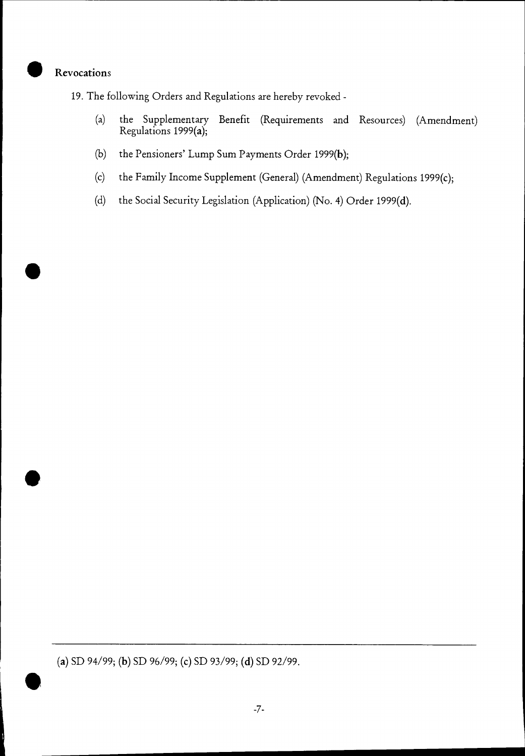#### **Revocations**

•

•

19. The following Orders and Regulations are hereby revoked -

- (a) the Supplementary Benefit (Requirements and Resources) (Amendment) Regulations 1999(a);
- (b) the Pensioners' Lump Sum Payments Order 1999(b);
- (c) the Family Income Supplement (General) (Amendment) Regulations 1999(c);
- (d) the Social Security Legislation (Application) (No. 4) Order 1999(d).

(a) SD 94/99; (b) SD 96/99; (c) SD 93/99; (d) SD 92/99.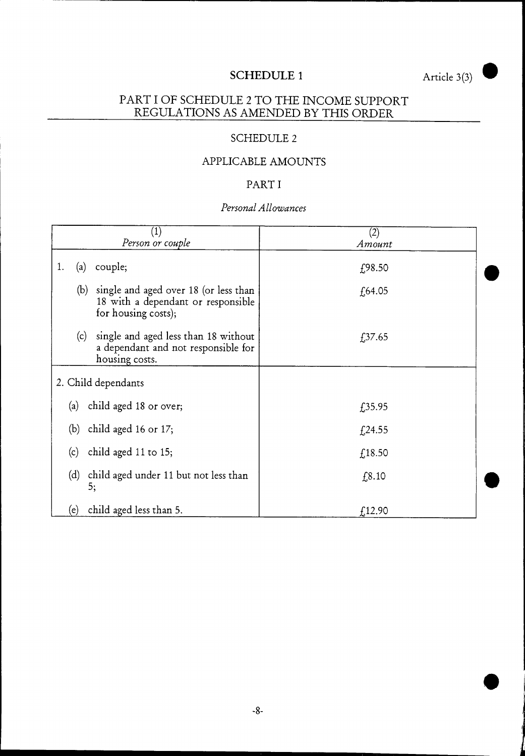# SCHEDULE 1 Article  $3(3)$

•

## PART I OF SCHEDULE 2 TO THE INCOME SUPPORT REGULATIONS AS AMENDED BY THIS ORDER

#### SCHEDULE 2

#### APPLICABLE AMOUNTS

#### PART I

#### *Personal Allowances*

|           | $\left( 1\right)$<br>Person or couple                                                                  | $\overline{2)}$<br>Amount |
|-----------|--------------------------------------------------------------------------------------------------------|---------------------------|
| 1.<br>(a) | couple;                                                                                                | f,98.50                   |
|           | (b) single and aged over 18 (or less than<br>18 with a dependant or responsible<br>for housing costs); | f(64.05)                  |
|           | (c) single and aged less than 18 without<br>a dependant and not responsible for<br>housing costs.      | f,37.65                   |
|           | 2. Child dependants                                                                                    |                           |
| (a)       | child aged 18 or over;                                                                                 | f, 35.95                  |
| (b)       | child aged 16 or 17;                                                                                   | f,24.55                   |
| (c)       | child aged 11 to 15;                                                                                   | $f$ 18.50                 |
| (d)       | child aged under 11 but not less than<br>5;                                                            | f(8.10)                   |
| (e)       | child aged less than 5.                                                                                | $f_{.}12.90$              |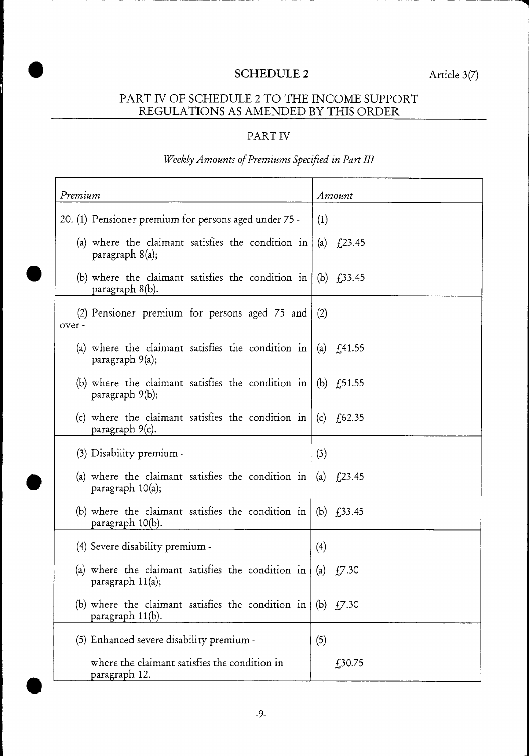## en and SCHEDULE 2 Article 3(7)

#### PART IV OF SCHEDULE 2 TO THE INCOME SUPPORT REGULATIONS AS AMENDED BY THIS ORDER

#### PART IV

#### *Weekly Amounts of Premiums Specified in Part III*

| Premium                                                                                                 | Amount                      |
|---------------------------------------------------------------------------------------------------------|-----------------------------|
| 20. (1) Pensioner premium for persons aged under 75 -                                                   | (1)                         |
| (a) where the claimant satisfies the condition in<br>paragraph 8(a);                                    | (a)<br>f <sub>1</sub> 23.45 |
| (b) where the claimant satisfies the condition in $ $<br>paragraph 8(b).                                | (b) $f, 33.45$              |
| (2) Pensioner premium for persons aged 75 and<br>over-                                                  | (2)                         |
| (a) where the claimant satisfies the condition in<br>$\text{pargraph } 9(a);$                           | (a) $f141.55$               |
| (b) where the claimant satisfies the condition in<br>paragraph 9(b);                                    | (b) $f, 51.55$              |
| (c) where the claimant satisfies the condition in<br>paragraph 9(c).                                    | (c) $f{62.35}$              |
| (3) Disability premium -                                                                                | (3)                         |
| (a) where the claimant satisfies the condition in<br>paragraph $10(a)$ ;                                | (a)<br>f <sub>23.45</sub>   |
| (b) where the claimant satisfies the condition in $($ b) $f_33.45$<br>paragraph 10(b).                  |                             |
| (4) Severe disability premium -                                                                         | (4)                         |
| (a) where the claimant satisfies the condition in $\left( \alpha \right)$ $f(7.30)$<br>paragraph 11(a); |                             |
| (b) where the claimant satisfies the condition in $($ (b) $fZ$ .30<br>paragraph 11(b).                  |                             |
| (5) Enhanced severe disability premium -                                                                | (5)                         |
| where the claimant satisfies the condition in<br>paragraph 12.                                          | £30.75                      |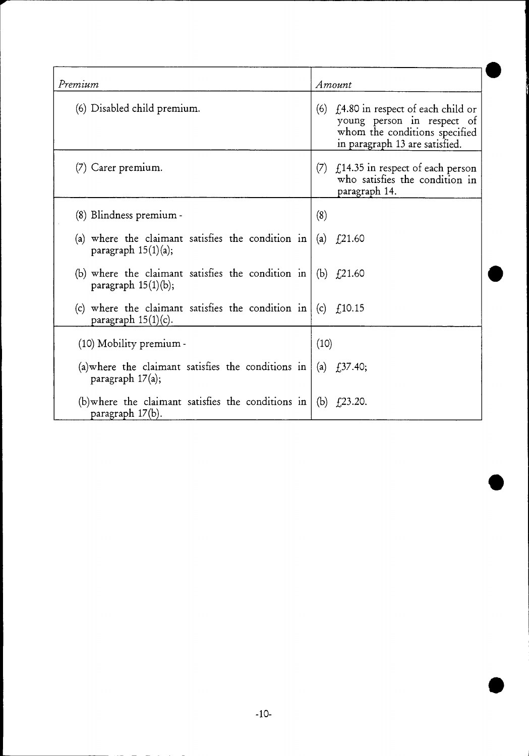| Premium                                                                                                | Amount                                                                                                                                       |  |
|--------------------------------------------------------------------------------------------------------|----------------------------------------------------------------------------------------------------------------------------------------------|--|
| (6) Disabled child premium.                                                                            | $(6)$ $f_4$ .80 in respect of each child or<br>young person in respect of<br>whom the conditions specified<br>in paragraph 13 are satisfied. |  |
| (7) Carer premium.                                                                                     | (7) $f_1$ 14.35 in respect of each person<br>who satisfies the condition in<br>paragraph 14.                                                 |  |
| (8) Blindness premium -                                                                                | (8)                                                                                                                                          |  |
| (a) where the claimant satisfies the condition in<br>paragraph $15(1)(a)$ ;                            | (a)<br>$f{,}21.60$                                                                                                                           |  |
| (b) where the claimant satisfies the condition in  <br>paragraph $15(1)(b)$ ;                          | (b) $f21.60$                                                                                                                                 |  |
| (c) where the claimant satisfies the condition in $\vert$ (c) $\vert$ (10.15<br>paragraph $15(1)(c)$ . |                                                                                                                                              |  |
| (10) Mobility premium -                                                                                | (10)                                                                                                                                         |  |
| $(a)$ where the claimant satisfies the conditions in<br>paragraph $17(a)$ ;                            | (a) $f37.40$ ;                                                                                                                               |  |
| (b) where the claimant satisfies the conditions in<br>paragraph 17(b).                                 | (b)<br>$f$ , 23.20.                                                                                                                          |  |

•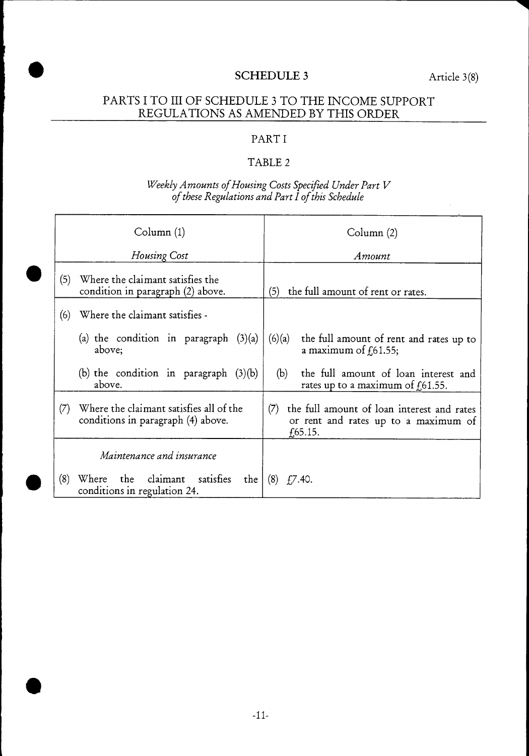#### SCHEDULE 3 Article 3(8)

#### PARTS I TO III OF SCHEDULE 3 TO THE INCOME SUPPORT REGULATIONS AS AMENDED BY THIS ORDER

#### PART I

#### TABLE 2

#### *Weekly Amounts of Housing Costs Specified Under Part V of these Regulations and Part I of this Schedule*

|     | Column(1)                                                                     | Column (2)                                                                                            |
|-----|-------------------------------------------------------------------------------|-------------------------------------------------------------------------------------------------------|
|     | Housing Cost                                                                  | Amount                                                                                                |
| (5) | Where the claimant satisfies the<br>condition in paragraph (2) above.         | (5) the full amount of rent or rates.                                                                 |
| (6) | Where the claimant satisfies -                                                |                                                                                                       |
|     | (a) the condition in paragraph $(3)(a)$<br>above;                             | (6)(a)<br>the full amount of rent and rates up to<br>a maximum of $f(61.55;$                          |
|     | (b) the condition in paragraph $(3)(b)$<br>above.                             | the full amount of loan interest and<br>(b)<br>rates up to a maximum of $f(61.55)$ .                  |
| (7) | Where the claimant satisfies all of the<br>conditions in paragraph (4) above. | the full amount of loan interest and rates<br>(7)<br>or rent and rates up to a maximum of<br>f,65.15. |
|     | Maintenance and insurance                                                     |                                                                                                       |
| (8) | Where the claimant satisfies<br>the  <br>conditions in regulation 24.         | $(8)$ $f$ 7.40.                                                                                       |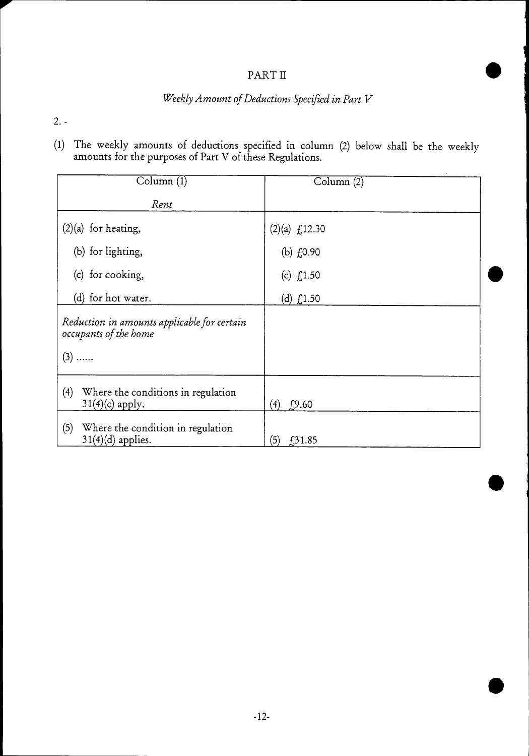## PART II

### *Weekly Amount of Deductions Specified in Part V*

 $2. -$ 

(1) The weekly amounts of deductions specified in column (2) below shall be the weekly amounts for the purposes of Part V of these Regulations.

| Column $(1)$                                                         | $\overline{\text{Column }(2)}$ |
|----------------------------------------------------------------------|--------------------------------|
| Rent                                                                 |                                |
| $(2)(a)$ for heating,                                                | (2)(a) f12.30                  |
| (b) for lighting,                                                    | (b) $f(0.90)$                  |
| (c) for cooking,                                                     | (c) $f1.50$                    |
| (d) for hot water.                                                   | (d) $f1.50$                    |
| Reduction in amounts applicable for certain<br>occupants of the home |                                |
| $(3)$                                                                |                                |
| (4)<br>Where the conditions in regulation<br>$31(4)(c)$ apply.       | f9.60<br>(4)                   |
| (5)<br>Where the condition in regulation<br>$31(4)(d)$ applies.      | (5)<br>f, 31.85                |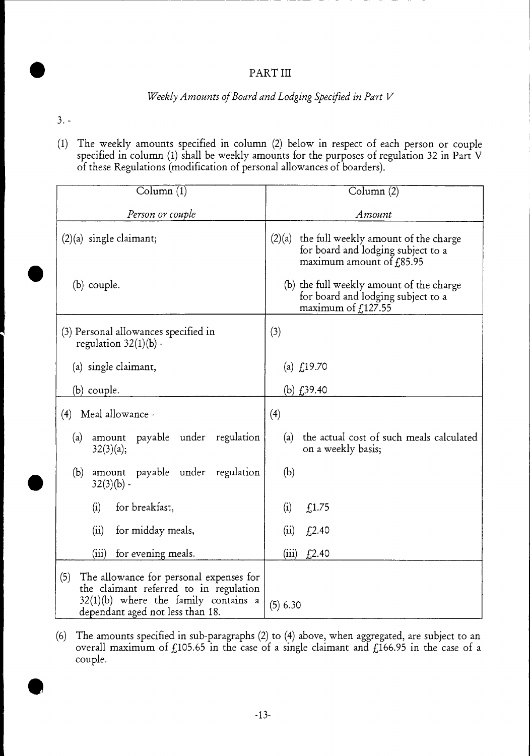#### PART III

#### *Weekly Amounts of Board and Lodging Specified in Part V*

3. -

a

(1) The weekly amounts specified in column (2) below in respect of each person or couple specified in column (1) shall be weekly amounts for the purposes of regulation 32 in Part V of these Regulations (modification of personal allowances of boarders).

| Column(1)                                                                                                                                                              | Column(2)                                                                                                            |
|------------------------------------------------------------------------------------------------------------------------------------------------------------------------|----------------------------------------------------------------------------------------------------------------------|
| Person or couple                                                                                                                                                       | Amount                                                                                                               |
| $(2)(a)$ single claimant;                                                                                                                                              | (2)(a)<br>the full weekly amount of the charge<br>for board and lodging subject to a<br>maximum amount of $f$ (85.95 |
| $(b)$ couple.                                                                                                                                                          | (b) the full weekly amount of the charge<br>for board and lodging subject to a<br>maximum of $f$ 127.55              |
| (3) Personal allowances specified in<br>regulation $32(1)(b)$ .                                                                                                        | (3)                                                                                                                  |
| (a) single claimant,                                                                                                                                                   | (a) $f19.70$                                                                                                         |
| (b) couple.                                                                                                                                                            | (b) $f39.40$                                                                                                         |
| (4) Meal allowance -                                                                                                                                                   | (4)                                                                                                                  |
| amount payable under regulation<br>(a)<br>32(3)(a);                                                                                                                    | the actual cost of such meals calculated<br>(a)<br>on a weekly basis;                                                |
| amount payable under regulation<br>(b)<br>$32(3)(b)$ -                                                                                                                 | (b)                                                                                                                  |
| for breakfast,<br>(i)                                                                                                                                                  | (i)<br>f <sub>1.75</sub>                                                                                             |
| for midday meals,<br>(ii)                                                                                                                                              | f <sub>2.40</sub><br>(i)                                                                                             |
| (iii)<br>for evening meals.                                                                                                                                            | f2.40<br>(iii)                                                                                                       |
| (5)<br>The allowance for personal expenses for<br>the claimant referred to in regulation<br>$32(1)(b)$ where the family contains a<br>dependant aged not less than 18. | (5) 6.30                                                                                                             |

(6) The amounts specified in sub-paragraphs (2) to (4) above, when aggregated, are subject to an overall maximum of  $f105.65$  in the case of a single claimant and  $f166.95$  in the case of a couple.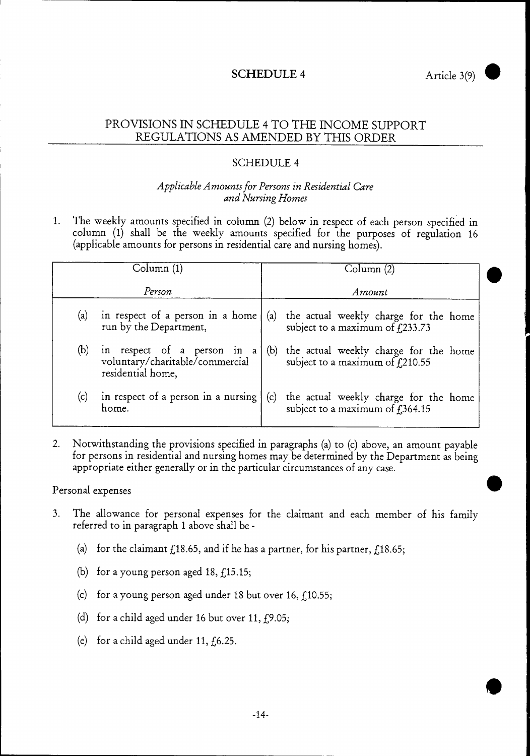SCHEDULE 4 Article 3(9)

•

#### PROVISIONS IN SCHEDULE 4 TO THE INCOME SUPPORT REGULATIONS AS AMENDED BY THIS ORDER

#### SCHEDULE 4

#### *Applicable Amounts for Persons in Residential Care and Nursing Homes*

*1.* The weekly amounts specified in column (2) below in respect of each person specified in column (1) shall be the weekly amounts specified for the purposes of regulation 16 (applicable amounts for persons in residential care and nursing homes).

|     | Column(1)                                                                           |     | Column(2)                                                                    |
|-----|-------------------------------------------------------------------------------------|-----|------------------------------------------------------------------------------|
|     | Person                                                                              |     | Amount                                                                       |
| (a) | in respect of a person in a home<br>run by the Department,                          | (a) | the actual weekly charge for the home<br>subject to a maximum of $f(233.73)$ |
| (b) | in respect of a person in a<br>voluntary/charitable/commercial<br>residential home, | (b) | the actual weekly charge for the home<br>subject to a maximum of $f(210.55)$ |
| (c) | in respect of a person in a nursing<br>home.                                        | (c) | the actual weekly charge for the home<br>subject to a maximum of $f364.15$   |

2. Notwithstanding the provisions specified in paragraphs (a) to (c) above, an amount payable for persons in residential and nursing homes may be determined by the Department as being appropriate either generally or in the particular circumstances of any case.

#### Personal expenses

- 3. The allowance for personal expenses for the claimant and each member of his family referred to in paragraph 1 above shall be -
	- (a) for the claimant  $f_118.65$ , and if he has a partner, for his partner,  $f_118.65$ ;
	- (b) for a young person aged 18,  $f<sub>15.15</sub>$ ;
	- (c) for a young person aged under 18 but over 16,  $f<sub>10.55</sub>$ ;
	- (d) for a child aged under 16 but over 11,  $f_1$ 9.05;
	- (e) for a child aged under 11,  $f<sub>6.25</sub>$ .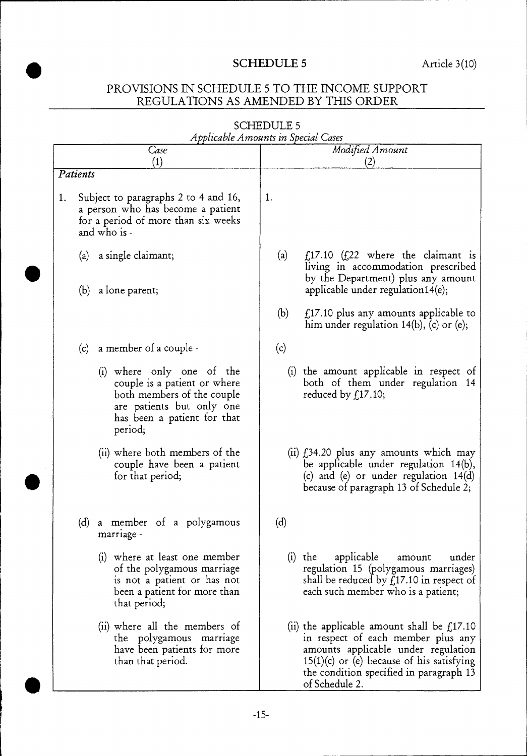## SCHEDULE 5 Article 3(10)

#### PROVISIONS IN SCHEDULE 5 TO THE INCOME SUPPORT REGULATIONS AS AMENDED BY THIS ORDER

|                 | Applicable Amounts in Special Cases                                                                                                                            |                                                                                                                                                                                                                                          |  |
|-----------------|----------------------------------------------------------------------------------------------------------------------------------------------------------------|------------------------------------------------------------------------------------------------------------------------------------------------------------------------------------------------------------------------------------------|--|
| Case            |                                                                                                                                                                | Modified Amount                                                                                                                                                                                                                          |  |
| (1)<br>Patients |                                                                                                                                                                | (2)                                                                                                                                                                                                                                      |  |
|                 |                                                                                                                                                                |                                                                                                                                                                                                                                          |  |
| 1.              | Subject to paragraphs 2 to 4 and 16,<br>a person who has become a patient<br>for a period of more than six weeks<br>and who is -                               | 1.                                                                                                                                                                                                                                       |  |
|                 | (a) a single claimant;<br>a lone parent;<br>(b)                                                                                                                | (a)<br>$f17.10$ $(f22$ where the claimant is<br>living in accommodation prescribed<br>by the Department) plus any amount<br>applicable under regulation14(e);                                                                            |  |
|                 |                                                                                                                                                                | (b)<br>$f_{17.10}$ plus any amounts applicable to<br>him under regulation $14(b)$ , (c) or (e);                                                                                                                                          |  |
|                 | a member of a couple -<br>(c)                                                                                                                                  | (c)                                                                                                                                                                                                                                      |  |
|                 | (i) where only one of the<br>couple is a patient or where<br>both members of the couple<br>are patients but only one<br>has been a patient for that<br>period; | (i) the amount applicable in respect of<br>both of them under regulation 14<br>reduced by $f$ 17.10;                                                                                                                                     |  |
|                 | (ii) where both members of the<br>couple have been a patient<br>for that period;                                                                               | (ii) $f_1^2$ 34.20 plus any amounts which may<br>be applicable under regulation 14(b),<br>(c) and (e) or under regulation 14(d)<br>because of paragraph 13 of Schedule 2;                                                                |  |
|                 | (d) a member of a polygamous<br>marriage -                                                                                                                     | (d)                                                                                                                                                                                                                                      |  |
|                 | where at least one member<br>(i)<br>of the polygamous marriage<br>is not a patient or has not<br>been a patient for more than<br>that period;                  | applicable<br>$(i)$ the<br>amount<br>under<br>regulation 15 (polygamous marriages)<br>shall be reduced by $f_{17.10}$ in respect of<br>each such member who is a patient;                                                                |  |
|                 | (ii) where all the members of<br>the polygamous marriage<br>have been patients for more<br>than that period.                                                   | (ii) the applicable amount shall be $f_{17.10}$<br>in respect of each member plus any<br>amounts applicable under regulation<br>$15(1)(c)$ or (e) because of his satisfying<br>the condition specified in paragraph 13<br>of Schedule 2. |  |

## SCHEDULE 5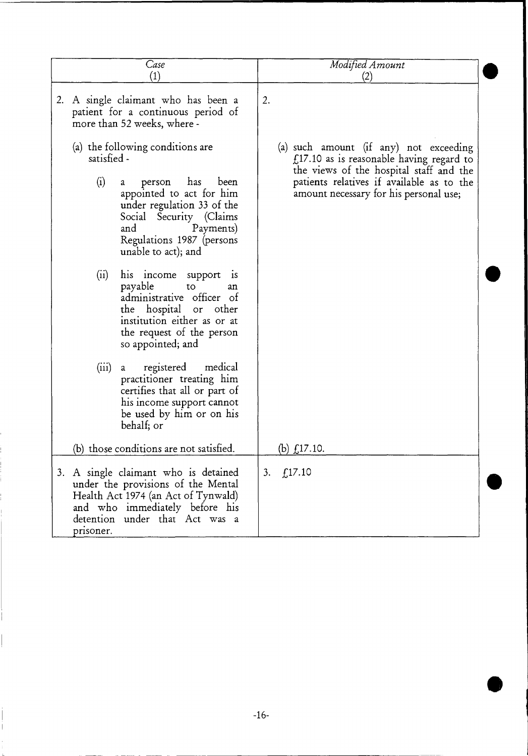|    | Case                                                                                                                                                                                                                                                                                                                        | Modified Amount                                                                                                                                                                                                         |
|----|-----------------------------------------------------------------------------------------------------------------------------------------------------------------------------------------------------------------------------------------------------------------------------------------------------------------------------|-------------------------------------------------------------------------------------------------------------------------------------------------------------------------------------------------------------------------|
|    | (1)                                                                                                                                                                                                                                                                                                                         | (2)                                                                                                                                                                                                                     |
| 2. | A single claimant who has been a<br>patient for a continuous period of<br>more than 52 weeks, where -                                                                                                                                                                                                                       | 2.                                                                                                                                                                                                                      |
|    | (a) the following conditions are<br>satisfied -<br>(i)<br>has<br>been<br>person<br>a<br>appointed to act for him<br>under regulation 33 of the<br>Social Security (Claims<br>Payments)<br>and<br>Regulations 1987 (persons<br>unable to act); and<br>his income<br>(ii)<br>support<br>$\overline{1}$<br>payable<br>to<br>an | (a) such amount (if any) not exceeding<br>$f$ 17.10 as is reasonable having regard to<br>the views of the hospital staff and the<br>patients relatives if available as to the<br>amount necessary for his personal use; |
|    | administrative officer of<br>the hospital or other<br>institution either as or at<br>the request of the person<br>so appointed; and                                                                                                                                                                                         |                                                                                                                                                                                                                         |
|    | medical<br>registered<br>(iii)<br>a<br>practitioner treating him<br>certifies that all or part of<br>his income support cannot<br>be used by him or on his<br>behalf; or                                                                                                                                                    |                                                                                                                                                                                                                         |
|    | (b) those conditions are not satisfied.                                                                                                                                                                                                                                                                                     | (b) $f17.10$ .                                                                                                                                                                                                          |
|    | 3. A single claimant who is detained<br>under the provisions of the Mental<br>Health Act 1974 (an Act of Tynwald)<br>and who immediately before his<br>detention under that Act was a<br>prisoner.                                                                                                                          | f <sub>17.10</sub><br>3.                                                                                                                                                                                                |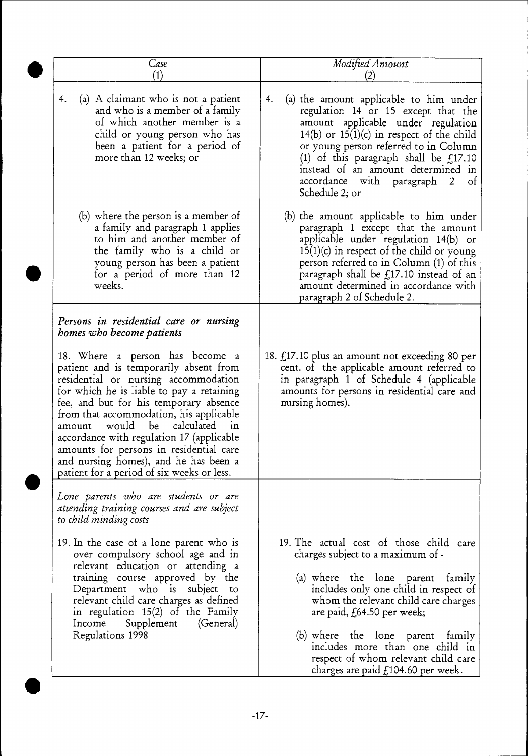| Case<br>(1)                                                                                                                                                                                                                                                                                                                                                                                                                                                                | Modified Amount                                                                                                                                                                                                                                                                                                                                                                                 |
|----------------------------------------------------------------------------------------------------------------------------------------------------------------------------------------------------------------------------------------------------------------------------------------------------------------------------------------------------------------------------------------------------------------------------------------------------------------------------|-------------------------------------------------------------------------------------------------------------------------------------------------------------------------------------------------------------------------------------------------------------------------------------------------------------------------------------------------------------------------------------------------|
| (a) A claimant who is not a patient<br>4.<br>and who is a member of a family<br>of which another member is a<br>child or young person who has<br>been a patient for a period of<br>more than 12 weeks; or                                                                                                                                                                                                                                                                  | (a) the amount applicable to him under<br>4.<br>regulation 14 or 15 except that the<br>amount applicable under regulation<br>14(b) or $15(\overline{1})(c)$ in respect of the child<br>or young person referred to in Column<br>(1) of this paragraph shall be $f_{.17.10}$<br>instead of an amount determined in<br>accordance with paragraph<br>$\overline{2}$<br>$\circ$ f<br>Schedule 2; or |
| (b) where the person is a member of<br>a family and paragraph 1 applies<br>to him and another member of<br>the family who is a child or<br>young person has been a patient<br>for a period of more than 12<br>weeks.                                                                                                                                                                                                                                                       | (b) the amount applicable to him under<br>paragraph 1 except that the amount<br>applicable under regulation 14(b) or<br>$15(1)(c)$ in respect of the child or young<br>person referred to in Column (1) of this<br>paragraph shall be $f_{17.10}$ instead of an<br>amount determined in accordance with<br>paragraph 2 of Schedule 2.                                                           |
| Persons in residential care or nursing<br>homes who become patients<br>18. Where a person has become a<br>patient and is temporarily absent from<br>residential or nursing accommodation<br>for which he is liable to pay a retaining<br>fee, and but for his temporary absence<br>from that accommodation, his applicable<br>would<br>calculated<br>be<br>$\mathbf{in}$<br>amount<br>accordance with regulation 17 (applicable<br>amounts for persons in residential care | 18. £17.10 plus an amount not exceeding 80 per<br>cent. of the applicable amount referred to<br>in paragraph 1 of Schedule 4 (applicable<br>amounts for persons in residential care and<br>nursing homes).                                                                                                                                                                                      |
| and nursing homes), and he has been a                                                                                                                                                                                                                                                                                                                                                                                                                                      |                                                                                                                                                                                                                                                                                                                                                                                                 |
| patient for a period of six weeks or less.<br>Lone parents who are students or are<br>attending training courses and are subject<br>to child minding costs                                                                                                                                                                                                                                                                                                                 |                                                                                                                                                                                                                                                                                                                                                                                                 |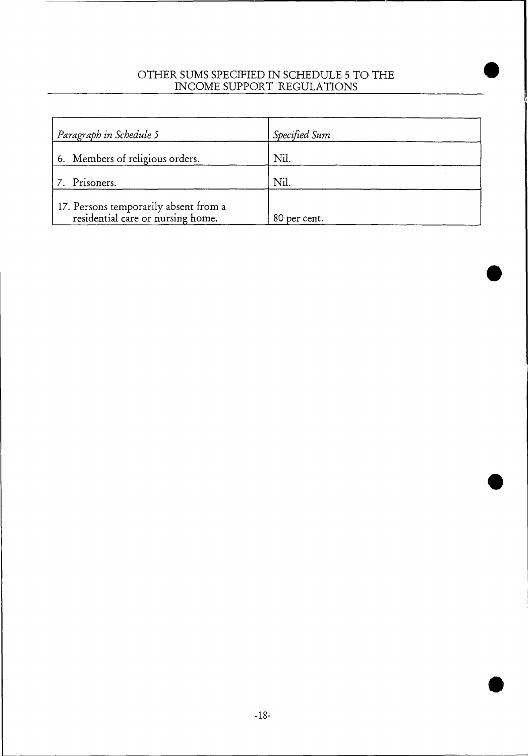#### OTHER SUMS SPECIFIED IN SCHEDULE 5 TO THE INCOME SUPPORT REGULATIONS

 $\ddot{\phantom{0}}$ 

| Paragraph in Schedule 5                                                    | Specified Sum |
|----------------------------------------------------------------------------|---------------|
| 6. Members of religious orders.                                            | Nil.          |
| Prisoners.                                                                 | Nil.          |
| 17. Persons temporarily absent from a<br>residential care or nursing home. | 80 per cent.  |

 $\bullet$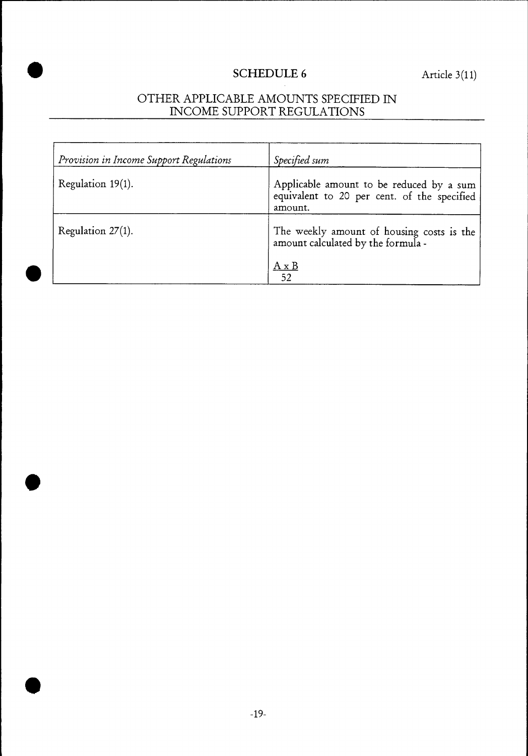## SCHEDULE 6 Article 3(11)

#### OTHER APPLICABLE AMOUNTS SPECIFIED IN INCOME SUPPORT REGULATIONS

| Provision in Income Support Regulations | Specified sum                                                                                      |
|-----------------------------------------|----------------------------------------------------------------------------------------------------|
| Regulation 19(1).                       | Applicable amount to be reduced by a sum<br>equivalent to 20 per cent. of the specified<br>amount. |
| Regulation $27(1)$ .                    | The weekly amount of housing costs is the<br>amount calculated by the formula -                    |
|                                         | $A \times B$<br>52                                                                                 |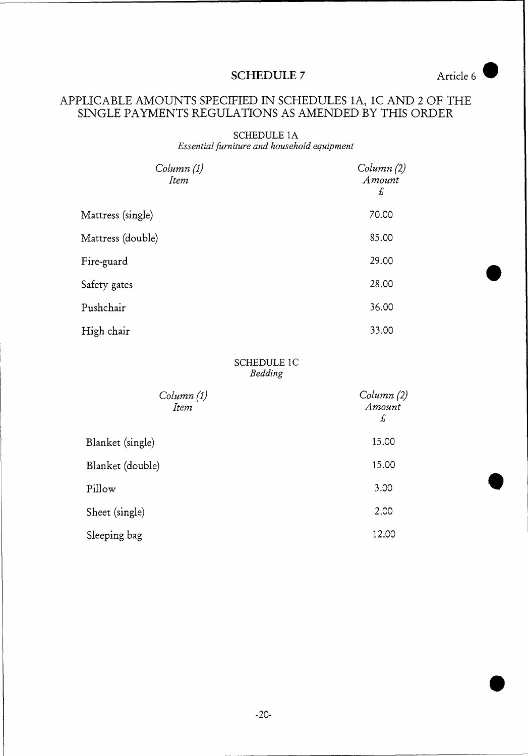## SCHEDULE 7 Article 6

#### APPLICABLE AMOUNTS SPECIFIED IN SCHEDULES 1A, 1C AND 2 OF THE SINGLE PAYMENTS REGULATIONS AS AMENDED BY THIS ORDER

#### SCHEDULE 1A *Essential furniture and household equipment*

| Column (1)<br>Item | Column(2)<br>Amount<br>£ |
|--------------------|--------------------------|
| Mattress (single)  | 70.00                    |
| Mattress (double)  | 85.00                    |
| Fire-guard         | 29.00                    |
| Safety gates       | 28.00                    |
| Pushchair          | 36.00                    |
| High chair         | 33.00                    |

#### SCHEDULE 1C *Bedding*

| Column(1)<br>Item | Column (2)<br>Amount<br>£ |
|-------------------|---------------------------|
| Blanket (single)  | 15.00                     |
| Blanket (double)  | 15.00                     |
| Pillow            | 3.00                      |
| Sheet (single)    | 2.00                      |
| Sleeping bag      | 12.00                     |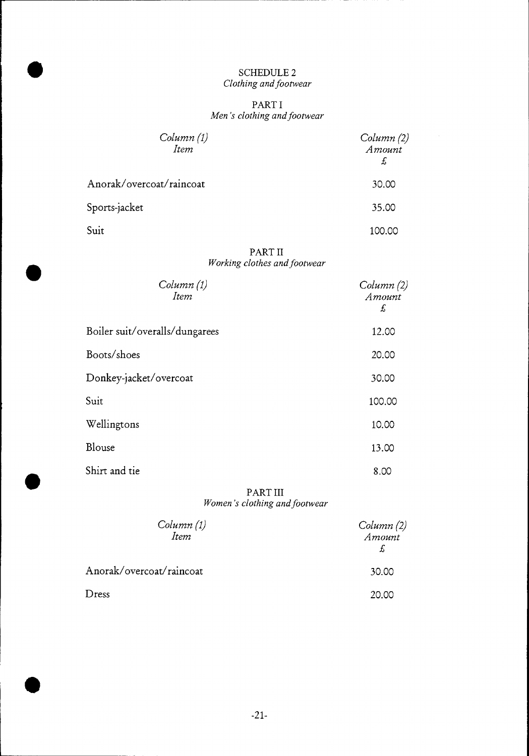#### SCHEDULE 2 *Clothing and footwear*

#### PART I *Men 's clothing and footwear*

J.

| Column(1)<br>Item        | Column(2)<br>Amount<br>£ |
|--------------------------|--------------------------|
| Anorak/overcoat/raincoat | 30.00                    |
| Sports-jacket            | 35.00                    |
| Suit                     | 100.00                   |

#### PART II *Working clothes and footwear*

| Column(1)<br>Item              | Column(2)<br>Amount<br>£ |
|--------------------------------|--------------------------|
| Boiler suit/overalls/dungarees | 12.00                    |
| Boots/shoes                    | 20.00                    |
| Donkey-jacket/overcoat         | 30.00                    |
| Suit                           | 100.00                   |
| Wellingtons                    | 10.00                    |
| Blouse                         | 13.00                    |
| Shirt and tie                  | 8.00                     |

#### PART III *Women 's clothing and footwear*

| Column(1)<br>Item        | Column(2)<br>Amount |
|--------------------------|---------------------|
| Anorak/overcoat/raincoat | 30.00               |
| Dress                    | 20.00               |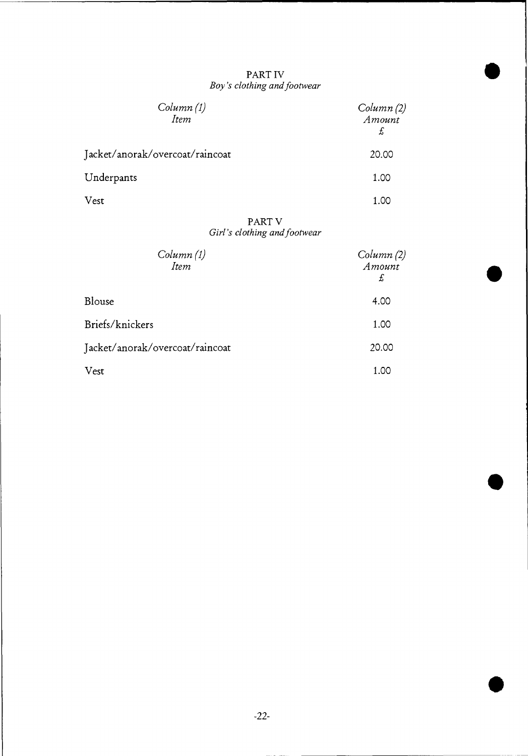#### PART IV *Boy* 's *clothing and footwear*

| Column(1)<br>Item               | Column(2)<br>Amount |
|---------------------------------|---------------------|
| Jacket/anorak/overcoat/raincoat | 20.00               |
| Underpants                      | 1.00                |
| Vest                            | 1.00                |

#### PART V *Girl's clothing and footwear*

| Column(1)<br>Item               | Column(2)<br>Amount<br>£ |
|---------------------------------|--------------------------|
| Blouse                          | 4.00                     |
| Briefs/knickers                 | 1.00                     |
| Jacket/anorak/overcoat/raincoat | 20.00                    |
| Vest                            | 1.00                     |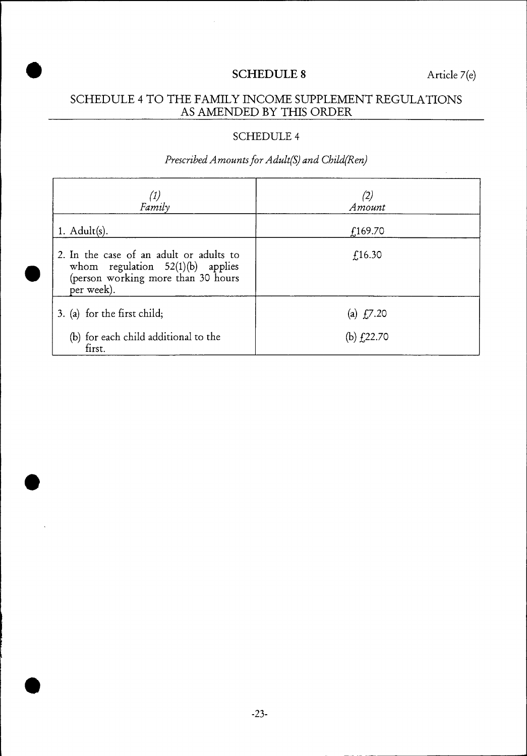# en SCHEDULE 8 Article 7(e)

#### SCHEDULE 4 TO THE FAMILY INCOME SUPPLEMENT REGULATIONS AS AMENDED BY THIS ORDER

#### SCHEDULE 4

### *Prescribed Amounts for Adult(S) and Child(Ren)*

| (1)<br>Family                                                                                                                     | (2)<br>Amount  |
|-----------------------------------------------------------------------------------------------------------------------------------|----------------|
| $1.$ Adult $(s)$ .                                                                                                                | $f$ 169.70     |
| 2. In the case of an adult or adults to<br>whom regulation $52(1)(b)$ applies<br>(person working more than 30 hours<br>per week). | f,16.30        |
| 3. (a) for the first child;                                                                                                       | (a) $f7.20$    |
| (b) for each child additional to the<br>first.                                                                                    | (b) $f$ (22.70 |

•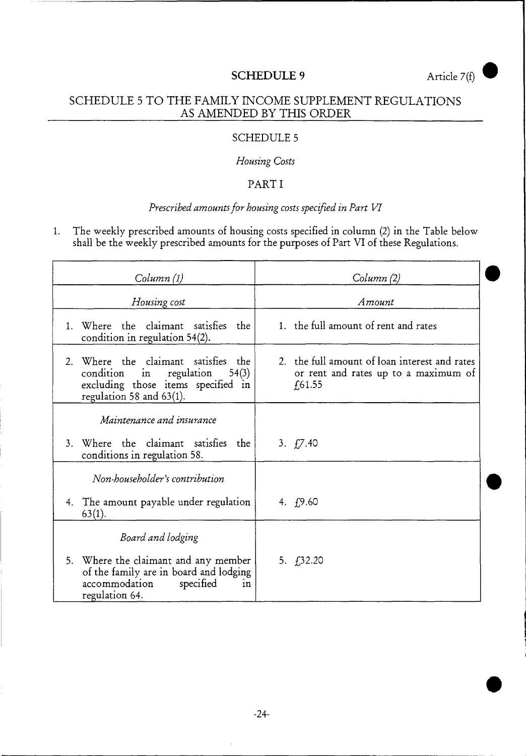## **SCHEDULE 9** Article 7(f)

#### SCHEDULE 5 TO THE FAMILY INCOME SUPPLEMENT REGULATIONS AS AMENDED BY THIS ORDER

#### SCHEDULE 5

#### *Housing Costs*

#### PART I

#### *Prescribed amounts for housing costs specified in Part VI*

*1.* The weekly prescribed amounts of housing costs specified in column (2) in the Table below shall be the weekly prescribed amounts for the purposes of Part VI of these Regulations.

| Column(1)                                                                                                                                             | Column (2)                                                                                        |
|-------------------------------------------------------------------------------------------------------------------------------------------------------|---------------------------------------------------------------------------------------------------|
| Housing cost                                                                                                                                          | Amount                                                                                            |
| 1. Where the claimant satisfies the<br>condition in regulation $54(2)$ .                                                                              | 1. the full amount of rent and rates                                                              |
| 2. Where the claimant satisfies the<br>condition<br>regulation<br>54(3)<br>$\ln$<br>excluding those items specified in<br>regulation 58 and $63(1)$ . | 2. the full amount of loan interest and rates<br>or rent and rates up to a maximum of<br>f(61.55) |
| Maintenance and insurance                                                                                                                             |                                                                                                   |
| 3. Where the claimant satisfies the<br>conditions in regulation 58.                                                                                   | 3. $f7.40$                                                                                        |
| Non-householder's contribution                                                                                                                        |                                                                                                   |
| 4. The amount payable under regulation<br>$63(1)$ .                                                                                                   | 4. $f(9.60)$                                                                                      |
| Board and lodging                                                                                                                                     |                                                                                                   |
| 5. Where the claimant and any member<br>of the family are in board and lodging<br>accommodation<br>specified<br>1n<br>regulation 64.                  | 5. f <sub>3</sub> 32.20                                                                           |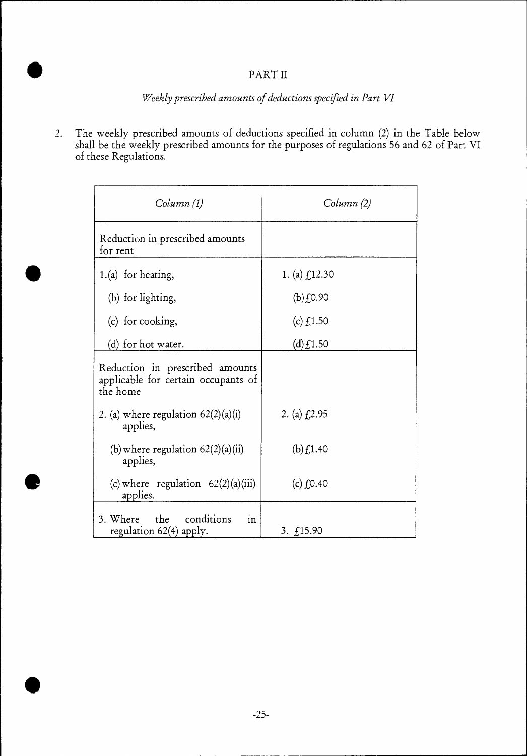#### PART II

### *Weekly prescribed amounts of deductions specified in Part VI*

2. The weekly prescribed amounts of deductions specified in column (2) in the Table below shall be the weekly prescribed amounts for the purposes of regulations 56 and 62 of Part VI of these Regulations.

| Column (1)                                                                         | Column (2)        |  |
|------------------------------------------------------------------------------------|-------------------|--|
| Reduction in prescribed amounts<br>for rent                                        |                   |  |
| $1.(a)$ for heating,                                                               | 1. (a) $f(12.30)$ |  |
| (b) for lighting,                                                                  | $(b) f$ 0.90      |  |
| (c) for cooking,                                                                   | (c) $f1.50$       |  |
| (d) for hot water.                                                                 | (d) f1.50         |  |
| Reduction in prescribed amounts<br>applicable for certain occupants of<br>the home |                   |  |
| 2. (a) where regulation $62(2)(a)(i)$<br>applies,                                  | 2. (a) $f2.95$    |  |
| (b) where regulation $62(2)(a)(ii)$<br>applies,                                    | (b) f1.40         |  |
| (c) where regulation $62(2)(a)(iii)$<br>applies.                                   | (c) $f$ 0.40      |  |
| 3. Where the conditions<br>1n<br>regulation 62(4) apply.                           | 3. $f15.90$       |  |

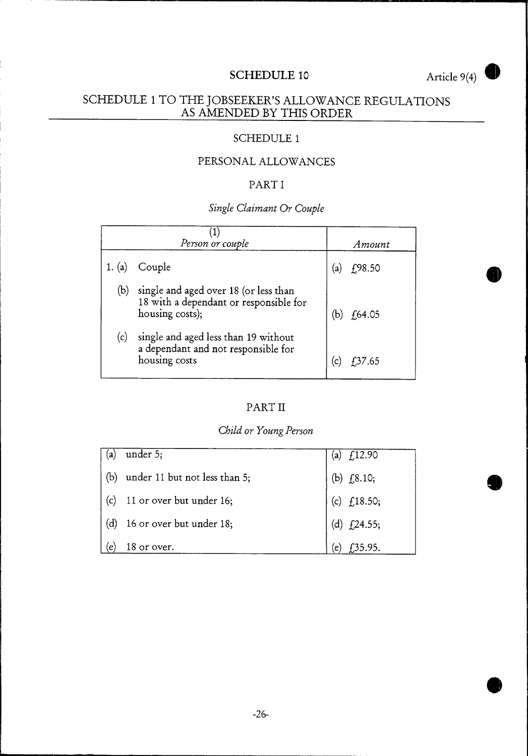## SCHEDULE 10 Article 9(4)

#### SCHEDULE 1 TO THE JOBSEEKER'S ALLOWANCE REGULATIONS AS AMENDED BY THIS ORDER

#### SCHEDULE 1

#### PERSONAL ALLOWANCES

#### PART I

## *Single Claimant Or Couple*

|        | Person or couple                                                                                   |     | Amount  |
|--------|----------------------------------------------------------------------------------------------------|-----|---------|
| 1. (a) | Couple                                                                                             | (a) | f.98.50 |
| (b)    | single and aged over 18 (or less than<br>18 with a dependant or responsible for<br>housing costs); |     | f,64.05 |
| (c)    | single and aged less than 19 without<br>a dependant and not responsible for<br>housing costs       |     | f.37.65 |

#### PART II

## *Child or Young Person*

| 'a  | under $5$ ;                   | f12.90<br>(a)  |
|-----|-------------------------------|----------------|
| (b) | under 11 but not less than 5; | £8.10;         |
|     | (c) 11 or over but under 16;  | (c) $f18.50$ ; |
|     | (d) 16 or over but under 18;  | (d) $f24.55$ ; |
| le  | 18 or over.                   | £35.95.        |

**e**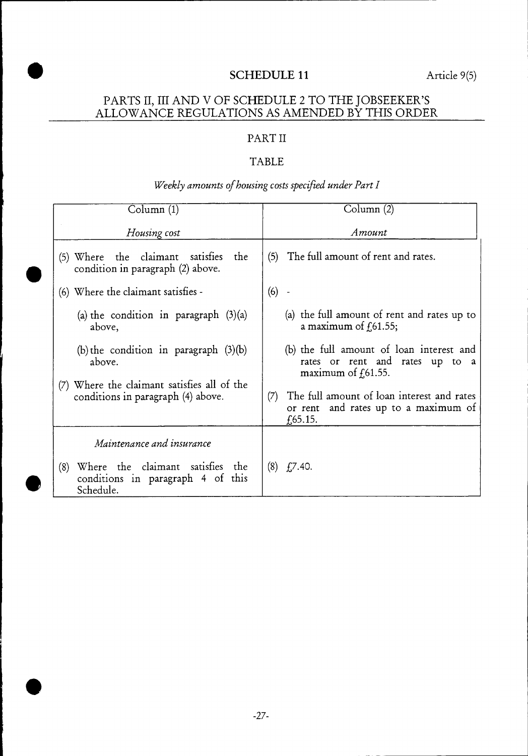#### SCHEDULE 11 Article 9(5)

#### PARTS II, III AND V OF SCHEDULE 2 TO THE JOBSEEKER'S ALLOWANCE REGULATIONS AS AMENDED BY THIS ORDER

#### PART II

#### TABLE

#### *Weekly amounts of housing costs specified under Part I*

| Column(1)                                                                                 | Column (2)                                                                                             |
|-------------------------------------------------------------------------------------------|--------------------------------------------------------------------------------------------------------|
| Housing cost                                                                              | Amount                                                                                                 |
| (5) Where the claimant satisfies the<br>condition in paragraph (2) above.                 | (5) The full amount of rent and rates.                                                                 |
| (6) Where the claimant satisfies -                                                        | $(6) -$                                                                                                |
| (a) the condition in paragraph $(3)(a)$<br>above,                                         | (a) the full amount of rent and rates up to<br>a maximum of $f(61.55)$ ;                               |
| (b) the condition in paragraph $(3)(b)$<br>above.                                         | (b) the full amount of loan interest and<br>rates or rent and rates up to a<br>maximum of $f(61.55)$ . |
| (7) Where the claimant satisfies all of the<br>conditions in paragraph (4) above.         | The full amount of loan interest and rates<br>(7)<br>or rent and rates up to a maximum of<br>f(65.15.  |
| Maintenance and insurance                                                                 |                                                                                                        |
| Where the claimant satisfies the<br>(8)<br>conditions in paragraph 4 of this<br>Schedule. | $(8)$ $f$ 7.40.                                                                                        |

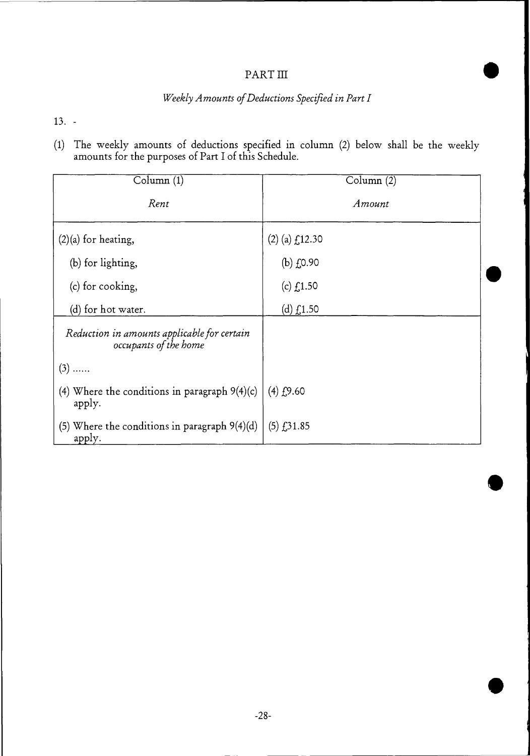#### PART III

### *Weekly Amounts of Deductions Specified in Part I*

13. -

(1) The weekly amounts of deductions specified in column (2) below shall be the weekly amounts for the purposes of Part I of this Schedule.

| Column(1)                                                            | Column(2)          |
|----------------------------------------------------------------------|--------------------|
| Rent                                                                 | Amount             |
| $(2)(a)$ for heating,                                                | $(2)$ (a) $f12.30$ |
| (b) for lighting,                                                    | (b) $f(0.90)$      |
| (c) for cooking,                                                     | (c) $f(1.50)$      |
| (d) for hot water.                                                   | (d) $f_{.}1.50$    |
| Reduction in amounts applicable for certain<br>occupants of the home |                    |
| $(3)$                                                                |                    |
| (4) Where the conditions in paragraph $9(4)(c)$<br>apply.            | (4) f9.60          |
| (5) Where the conditions in paragraph $9(4)(d)$<br>apply.            | $(5)$ $f31.85$     |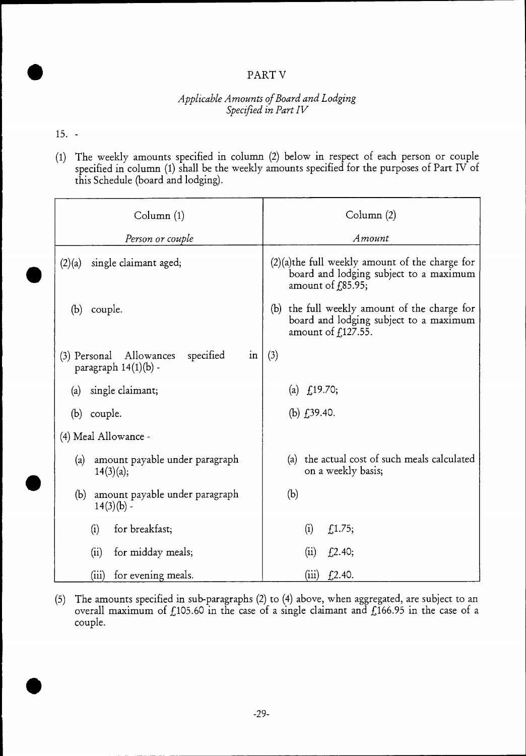#### PART V

#### *Applicable Amounts of Board and Lodging Specified in Part IV*

15. -

(1) The weekly amounts specified in column (2) below in respect of each person or couple specified in column (1) shall be the weekly amounts specified for the purposes of Part IV of this Schedule (board and lodging).

| Column(1)                                                               | Column(2)                                                                                                             |
|-------------------------------------------------------------------------|-----------------------------------------------------------------------------------------------------------------------|
| Person or couple                                                        | Amount                                                                                                                |
| single claimant aged;<br>(2)(a)                                         | $(2)(a)$ the full weekly amount of the charge for<br>board and lodging subject to a maximum<br>amount of $f$ , 85.95; |
| (b)<br>couple.                                                          | (b) the full weekly amount of the charge for<br>board and lodging subject to a maximum<br>amount of f,127.55.         |
| specified<br>(3) Personal Allowances<br>$\ln$<br>paragraph $14(1)(b)$ - | (3)                                                                                                                   |
| single claimant;<br>(a)                                                 | (a) $f119.70$ ;                                                                                                       |
| (b) couple.                                                             | (b) $f39.40$ .                                                                                                        |
| (4) Meal Allowance -                                                    |                                                                                                                       |
| amount payable under paragraph<br>(a)<br>14(3)(a);                      | (a) the actual cost of such meals calculated<br>on a weekly basis;                                                    |
| (b)<br>amount payable under paragraph<br>$14(3)(b)$ -                   | (b)                                                                                                                   |
| for breakfast;<br>(i)                                                   | (i)<br>$f1.75$ ;                                                                                                      |
| (ii)<br>for midday meals;                                               | f <sub>1</sub> 2.40;<br>(ii)                                                                                          |
| (iii)<br>for evening meals.                                             | $f2.40$ .<br>(iii)                                                                                                    |

(5) The amounts specified in sub-paragraphs (2) to (4) above, when aggregated, are subject to an overall maximum of £105.60 in the case of a single claimant and £166.95 in the case of a couple.

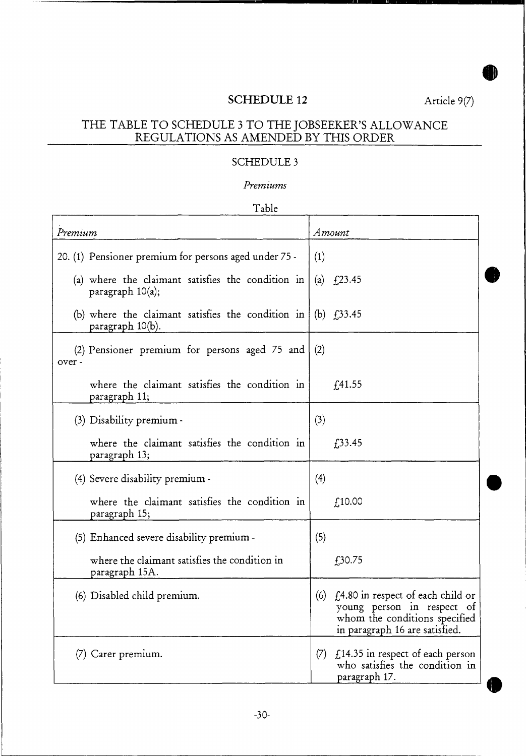## SCHEDULE 12 Article 9(7)

**•** 

#### THE TABLE TO SCHEDULE 3 TO THE JOBSEEKER'S ALLOWANCE REGULATIONS AS AMENDED BY THIS ORDER

#### SCHEDULE 3

#### *Premiums*

#### Table

| Premium                                                                       | Amount                                                                                                                                       |
|-------------------------------------------------------------------------------|----------------------------------------------------------------------------------------------------------------------------------------------|
| 20. (1) Pensioner premium for persons aged under 75 -                         | (1)                                                                                                                                          |
| (a) where the claimant satisfies the condition in<br>paragraph $10(a)$ ;      | (a) $f123.45$                                                                                                                                |
| (b) where the claimant satisfies the condition in $\vert$<br>paragraph 10(b). | (b) $f, 33.45$                                                                                                                               |
| (2) Pensioner premium for persons aged $75$ and<br>over -                     | (2)                                                                                                                                          |
| where the claimant satisfies the condition in<br>paragraph 11;                | $f$ 41.55                                                                                                                                    |
| (3) Disability premium -                                                      | (3)                                                                                                                                          |
| where the claimant satisfies the condition in<br>paragraph 13;                | f, 33.45                                                                                                                                     |
| (4) Severe disability premium -                                               | (4)                                                                                                                                          |
| where the claimant satisfies the condition in<br>paragraph 15;                | $f_{10.00}$                                                                                                                                  |
| (5) Enhanced severe disability premium -                                      | (5)                                                                                                                                          |
| where the claimant satisfies the condition in<br>paragraph 15A.               | $f$ , 30.75                                                                                                                                  |
| (6) Disabled child premium.                                                   | $f14.80$ in respect of each child or<br>(6)<br>young person in respect of<br>whom the conditions specified<br>in paragraph 16 are satisfied. |
| (7) Carer premium.                                                            | £14.35 in respect of each person<br>(7)<br>who satisfies the condition in<br>paragraph 17.                                                   |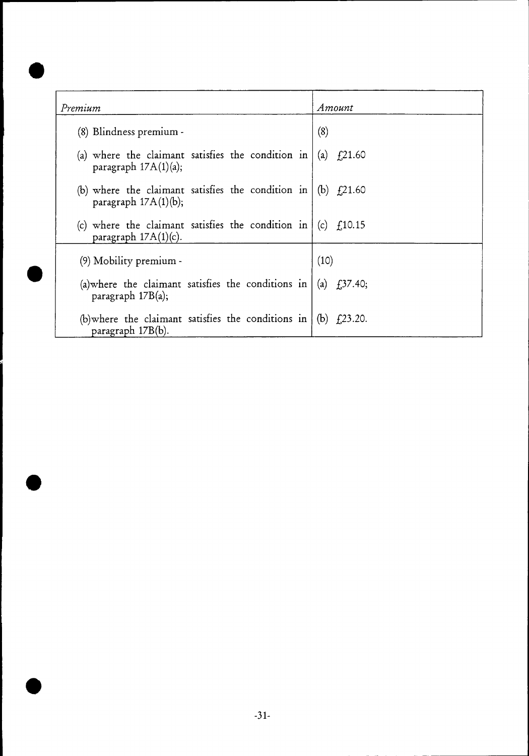| Premium                                                                                     | Amount                   |
|---------------------------------------------------------------------------------------------|--------------------------|
| (8) Blindness premium -                                                                     | (8)                      |
| (a) where the claimant satisfies the condition in<br>paragraph $17A(1)(a)$ ;                | (a)<br>$f_{1,2}^{21.60}$ |
| (b) where the claimant satisfies the condition in $ (b)$ $f(21.60)$<br>paragraph 17A(1)(b); |                          |
| (c) where the claimant satisfies the condition in $(c)$<br>paragraph $17A(1)(c)$ .          | f(10.15)                 |
| (9) Mobility premium -                                                                      | (10)                     |
| (a)where the claimant satisfies the conditions in $ (a)$ f.37.40;<br>paragraph 17B(a);      |                          |
| (b) where the claimant satisfies the conditions in $($ b) $f_1$ 23.20.<br>paragraph 17B(b). |                          |

•

•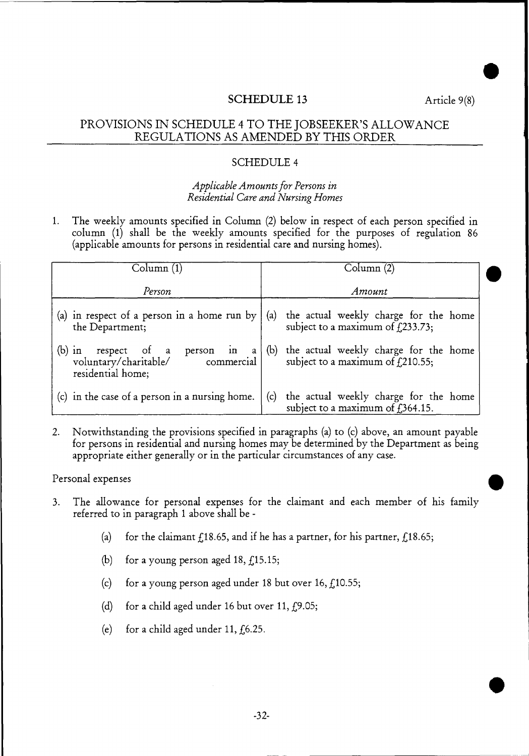•

•

#### SCHEDULE 13 Article 9(8)

#### PROVISIONS IN SCHEDULE 4 TO THE JOBSEEKER'S ALLOWANCE REGULATIONS AS AMENDED BY THIS ORDER

#### SCHEDULE 4

#### *Applicable Amounts for Persons in Residential Care and Nursing Homes*

1. The weekly amounts specified in Column (2) below in respect of each person specified in column (1) shall be the weekly amounts specified for the purposes of regulation 86 (applicable amounts for persons in residential care and nursing homes).

| Column (1)                                                                                                | Column (2)                                                                            |
|-----------------------------------------------------------------------------------------------------------|---------------------------------------------------------------------------------------|
| Person                                                                                                    | Amount                                                                                |
| (a) in respect of a person in a home run by<br>the Department;                                            | the actual weekly charge for the home<br>(a)<br>subject to a maximum of $f(233.73)$ ; |
| respect of a<br>$(b)$ in<br>$\ln a$<br>person<br>voluntary/charitable/<br>commercial<br>residential home; | (b) the actual weekly charge for the home<br>subject to a maximum of f.210.55;        |
| (c) in the case of a person in a nursing home.                                                            | the actual weekly charge for the home<br>(c)<br>subject to a maximum of $f1364.15$ .  |

2. Notwithstanding the provisions specified in paragraphs (a) to (c) above, an amount payable for persons in residential and nursing homes may be determined by the Department as being appropriate either generally or in the particular circumstances of any case.

Personal expenses

- 3. The allowance for personal expenses for the claimant and each member of his family referred to in paragraph 1 above shall be -
	- (a) for the claimant  $f(18.65)$ , and if he has a partner, for his partner,  $f(18.65)$ ;
	- (b) for a young person aged 18,  $f$ , 15.15;
	- (c) for a young person aged under 18 but over 16,  $f<sub>10.55</sub>$ ;
	- (d) for a child aged under 16 but over 11,  $f(9.05)$ ;
	- (e) for a child aged under 11,  $f<sub>6</sub>$ .25.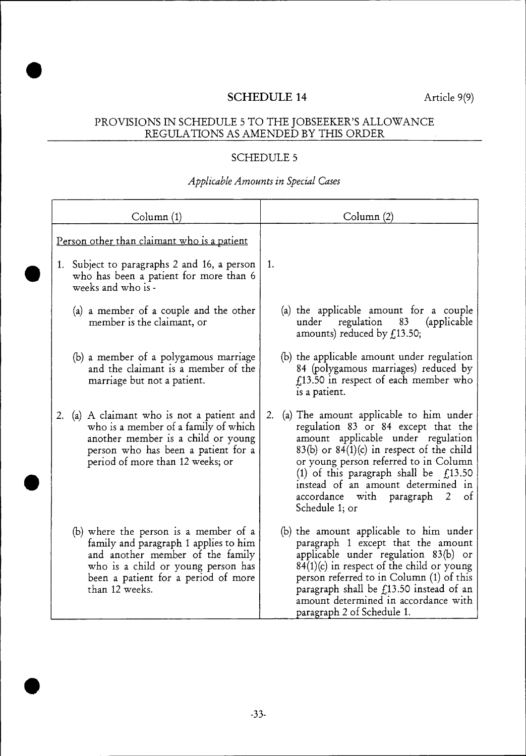## SCHEDULE 14 Article 9(9)

•

•

#### PROVISIONS IN SCHEDULE 5 TO THE JOBSEEKER'S ALLOWANCE REGULATIONS AS AMENDED BY THIS ORDER

#### SCHEDULE 5

#### *Applicable Amounts in Special Cases*

| Column(1)                                                                                                                                                                                                         |    | Column(2)                                                                                                                                                                                                                                                                                                                                                                    |
|-------------------------------------------------------------------------------------------------------------------------------------------------------------------------------------------------------------------|----|------------------------------------------------------------------------------------------------------------------------------------------------------------------------------------------------------------------------------------------------------------------------------------------------------------------------------------------------------------------------------|
| <u>Person other than claimant who is a patient</u>                                                                                                                                                                |    |                                                                                                                                                                                                                                                                                                                                                                              |
| 1. Subject to paragraphs 2 and 16, a person<br>who has been a patient for more than 6<br>weeks and who is -                                                                                                       | 1. |                                                                                                                                                                                                                                                                                                                                                                              |
| (a) a member of a couple and the other<br>member is the claimant, or                                                                                                                                              |    | (a) the applicable amount for a couple<br>regulation 83<br>under<br>(applicable<br>amounts) reduced by $f(13.50;$                                                                                                                                                                                                                                                            |
| (b) a member of a polygamous marriage<br>and the claimant is a member of the<br>marriage but not a patient.                                                                                                       |    | (b) the applicable amount under regulation<br>84 (polygamous marriages) reduced by<br>$f(13.50)$ in respect of each member who<br>is a patient.                                                                                                                                                                                                                              |
| 2. (a) A claimant who is not a patient and<br>who is a member of a family of which<br>another member is a child or young<br>person who has been a patient for a<br>period of more than 12 weeks; or               | 2. | (a) The amount applicable to him under<br>regulation 83 or 84 except that the<br>amount applicable under regulation<br>$83(b)$ or $84(1)(c)$ in respect of the child<br>or young person referred to in Column<br>(1) of this paragraph shall be $f13.50$<br>instead of an amount determined in<br>accordance with paragraph<br>$\overline{2}$<br>$\circ$ f<br>Schedule 1; or |
| (b) where the person is a member of a<br>family and paragraph 1 applies to him<br>and another member of the family<br>who is a child or young person has<br>been a patient for a period of more<br>than 12 weeks. |    | (b) the amount applicable to him under<br>paragraph 1 except that the amount<br>applicable under regulation 83(b) or<br>$84(1)(c)$ in respect of the child or young<br>person referred to in Column (1) of this<br>paragraph shall be $f_1$ 13.50 instead of an<br>amount determined in accordance with<br>paragraph 2 of Schedule 1.                                        |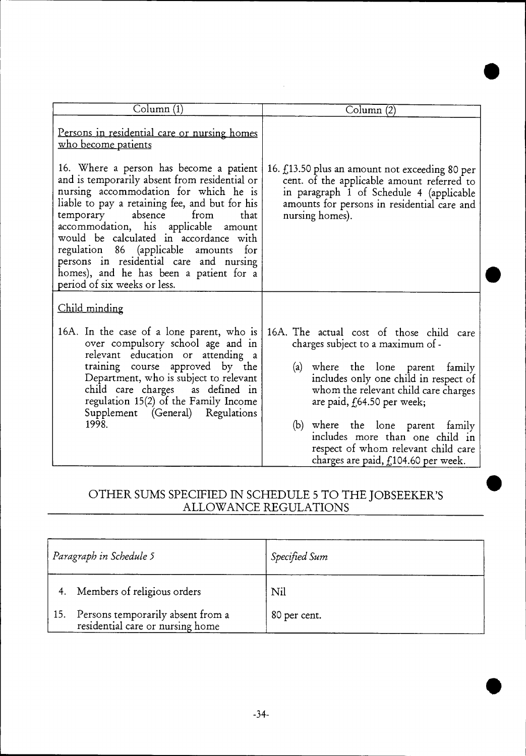| $\overline{\text{Column}}(1)$                                                                                                                                                                                                                                                                                                                                                                                                                                                                                                                                           | Column (2)                                                                                                                                                                                                                                                                                                                                                                            |
|-------------------------------------------------------------------------------------------------------------------------------------------------------------------------------------------------------------------------------------------------------------------------------------------------------------------------------------------------------------------------------------------------------------------------------------------------------------------------------------------------------------------------------------------------------------------------|---------------------------------------------------------------------------------------------------------------------------------------------------------------------------------------------------------------------------------------------------------------------------------------------------------------------------------------------------------------------------------------|
| <u>Persons in residential care or nursing homes</u><br><u>who become patients</u><br>16. Where a person has become a patient<br>and is temporarily absent from residential or<br>nursing accommodation for which he is<br>liable to pay a retaining fee, and but for his<br>absence<br>temporary<br>from<br>that<br>accommodation, his applicable<br>amount<br>would be calculated in accordance with<br>regulation 86 (applicable amounts<br>for<br>persons in residential care and nursing<br>homes), and he has been a patient for a<br>period of six weeks or less. | 16. £13.50 plus an amount not exceeding 80 per<br>cent. of the applicable amount referred to<br>in paragraph 1 of Schedule 4 (applicable<br>amounts for persons in residential care and<br>nursing homes).                                                                                                                                                                            |
| Child minding<br>16A. In the case of a lone parent, who is<br>over compulsory school age and in<br>relevant education or attending a<br>training course approved by the<br>Department, who is subject to relevant<br>child care charges as defined in<br>regulation 15(2) of the Family Income<br>Supplement (General) Regulations<br>1998.                                                                                                                                                                                                                             | 16A. The actual cost of those child care<br>charges subject to a maximum of -<br>(a) where the lone parent family<br>includes only one child in respect of<br>whom the relevant child care charges<br>are paid, £64.50 per week;<br>(b) where the lone parent family<br>includes more than one child in<br>respect of whom relevant child care<br>charges are paid, £104.60 per week. |

•

•

•

#### OTHER SUMS SPECIFIED IN SCHEDULE 5 TO THE JOBSEEKER'S ALLOWANCE REGULATIONS

| Paragraph in Schedule 5 |                                                                       | Specified Sum |
|-------------------------|-----------------------------------------------------------------------|---------------|
|                         | Members of religious orders                                           | Nil           |
| 15.                     | Persons temporarily absent from a<br>residential care or nursing home | 80 per cent.  |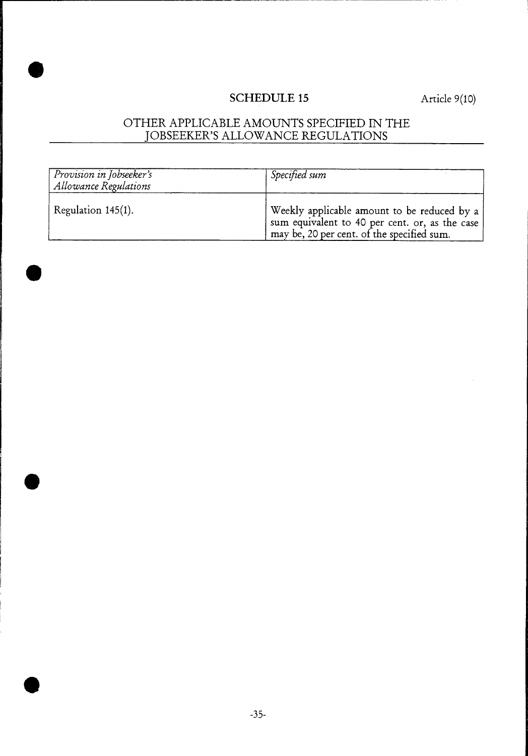## SCHEDULE 15 Article 9(10)

### OTHER APPLICABLE AMOUNTS SPECIFIED IN THE JOBSEEKER'S ALLOWANCE REGULATIONS

| Provision in Jobseeker's<br>Allowance Regulations | Specified sum                                                                                                                               |
|---------------------------------------------------|---------------------------------------------------------------------------------------------------------------------------------------------|
| Regulation 145(1).                                | Weekly applicable amount to be reduced by a<br>sum equivalent to 40 per cent. or, as the case<br>may be, 20 per cent. of the specified sum. |

 $\bullet$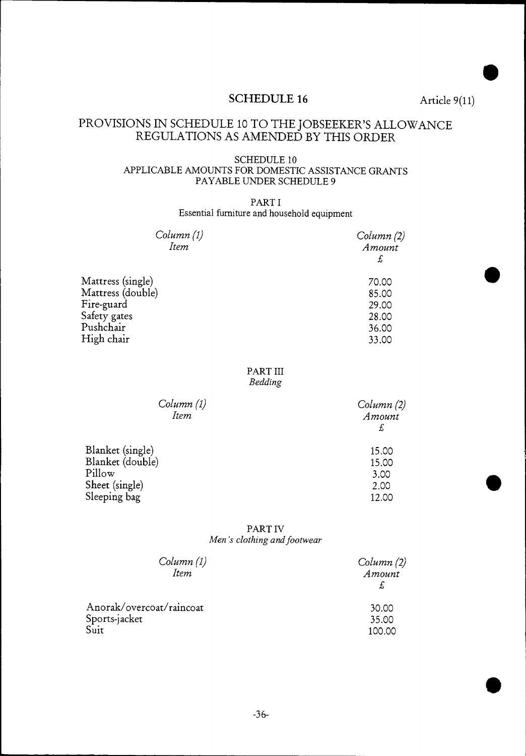#### SCHEDULE 16 Article 9(11)

#### PROVISIONS IN SCHEDULE 10 TO THE JOBSEEKER'S ALLOWANCE REGULATIONS AS AMENDED BY THIS ORDER

#### SCHEDULE 10 APPLICABLE AMOUNTS FOR DOMESTIC ASSISTANCE GRANTS PAYABLE UNDER SCHEDULE 9

PART I Essential furniture and household equipment

| Column(1)<br>Item | Column(2)<br>Amount<br>£ |
|-------------------|--------------------------|
| Mattress (single) | 70.00                    |
| Mattress (double) | 85.00                    |
| Fire-guard        | 29.00                    |
| Safety gates      | 28.00                    |
| Pushchair         | 36.00                    |
| High chair        | 33.00                    |

#### PART III

*Bedding* 

| Column(1)<br>Item                    | Column(2)<br>Amount<br>£ |
|--------------------------------------|--------------------------|
| Blanket (single)<br>Blanket (double) | 15.00<br>15.00           |
| Pillow                               | 3.00                     |
| Sheet (single)                       | 2.00                     |
| Sleeping bag                         | 12.00                    |

#### PART IV *Men's clothing and footwear*

| Column(1)                | Column(2) |
|--------------------------|-----------|
| Item                     | Amount    |
|                          |           |
| Anorak/overcoat/raincoat | 30.00     |
| Sports-jacket            | 35.00     |
| Suit                     | 100.00    |

•

•

•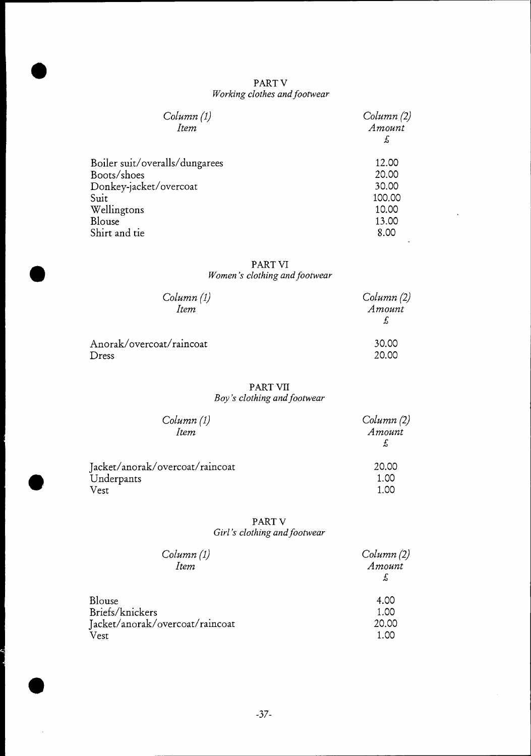#### PART V *Working clothes and footwear*

•

•

| Column(1)<br>Item              | Column(2)<br>Amount<br>£ |
|--------------------------------|--------------------------|
| Boiler suit/overalls/dungarees | 12.00                    |
| Boots/shoes                    | 20.00                    |
| Donkey-jacket/overcoat         | 30.00                    |
| Suit                           | 100.00                   |
| Wellingtons                    | 10.00                    |
| Blouse                         | 13.00                    |
| Shirt and tie                  | 8.00                     |
|                                |                          |

## **III** PART VI<br>*Women's clothing and footwear*

| Column(1)                | Column(2) |
|--------------------------|-----------|
| Item                     | Amount    |
| Anorak/overcoat/raincoat | 30.00     |
| Dress                    | 20.00     |

#### PART VII

#### *Boy's clothing and footwear*

| Column(1)                       | Column(2) |
|---------------------------------|-----------|
| Item                            | Amount    |
| Jacket/anorak/overcoat/raincoat | 20.00     |
| Underpants                      | 1.00      |
| Vest                            | 1.00      |

#### PART V *Girl's clothing and footwear*

| Column(1)                       | Column(2) |
|---------------------------------|-----------|
| Item                            | Amount    |
|                                 |           |
| Blouse                          | 4.00      |
| Briefs/knickers                 | 1.00      |
| Jacket/anorak/overcoat/raincoat | 20.00     |
| Vest                            | 1.00      |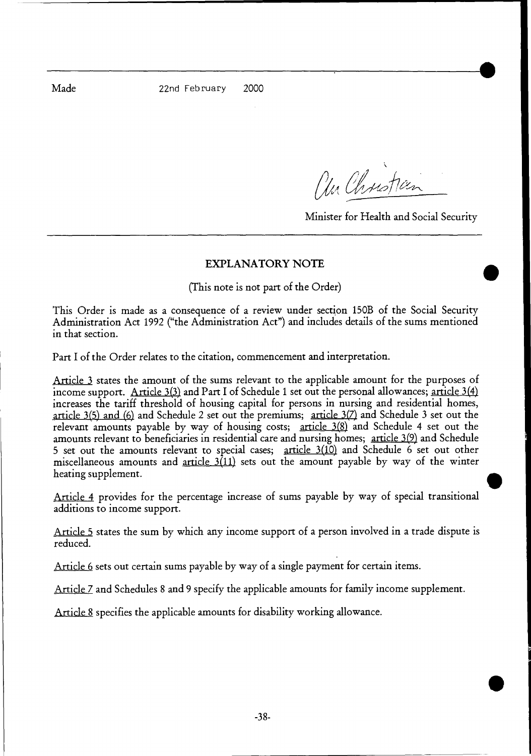Made 22nd February 2000

an Christian

Minister for Health and Social Security

•

•

#### EXPLANATORY NOTE

(This note is not part of the Order)

This Order is made as a consequence of a review under section 150B of the Social Security Administration Act 1992 ("the Administration Act") and includes details of the sums mentioned in that section.

Part I of the Order relates to the citation, commencement and interpretation.

Article 3 states the amount of the sums relevant to the applicable amount for the purposes of income support. Article 3(3) and Part I of Schedule 1 set out the personal allowances; article 3(4) increases the tariff threshold of housing capital for persons in nursing and residential homes, article 3(5) and (6) and Schedule 2 set out the premiums; article 3(7) and Schedule 3 set out the relevant amounts payable by way of housing costs; article  $3(8)$  and Schedule 4 set out the amounts relevant to beneficiaries in residential care and nursing homes; article 3(9) and Schedule 5 set out the amounts relevant to special cases; article 3(10) and Schedule 6 set out other miscellaneous amounts and article  $3(11)$  sets out the amount payable by way of the winter heating supplement.

Article 4 provides for the percentage increase of sums payable by way of special transitional additions to income support.

Article 5 states the sum by which any income support of a person involved in a trade dispute is reduced.

Article 6 sets out certain sums payable by way of a single payment for certain items.

Article 7 and Schedules 8 and 9 specify the applicable amounts for family income supplement.

Article 8 specifies the applicable amounts for disability working allowance.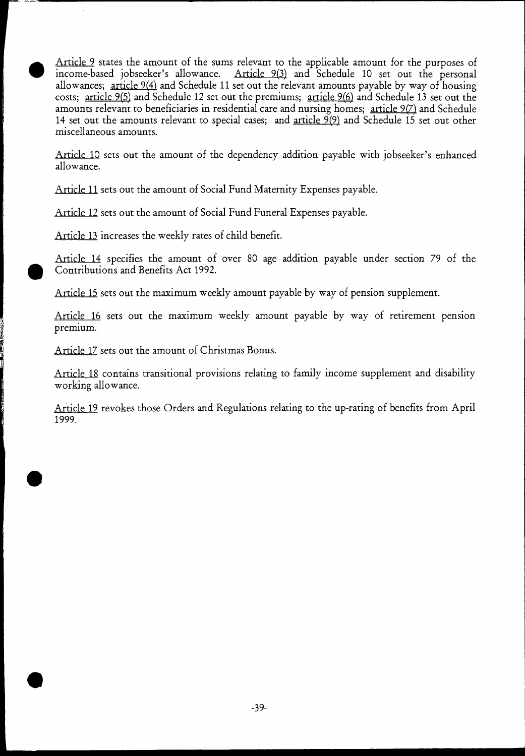Article 9 states the amount of the sums relevant to the applicable amount for the purposes of income-based jobseeker's allowance. Article 9(3) and Schedule 10 set out the personal allowances: article 9(4) and Schedule 11 s allowances; article 9(4) and Schedule 11 set out the relevant amounts payable by way of housing costs; article 9(5) and Schedule 12 set out the premiums; article 9(6) and Schedule 13 set out the amounts relevant to beneficiaries in residential care and nursing homes; article 9(7) and Schedule 14 set out the amounts relevant to special cases; and  $\arct{circle 9(9)}$  and Schedule 15 set out other miscellaneous amounts.

Article 10 sets out the amount of the dependency addition payable with jobseeker's enhanced allowance.

Article 11 sets out the amount of Social Fund Maternity Expenses payable.

Article 12 sets out the amount of Social Fund Funeral Expenses payable.

Article 13 increases the weekly rates of child benefit.

Article 14 specifies the amount of over 80 age addition payable under section 79 of the Contributions and Benefits Act 1992.

Article 15 sets out the maximum weekly amount payable by way of pension supplement.

Article 16 sets out the maximum weekly amount payable by way of retirement pension premium.

Article 17 sets out the amount of Christmas Bonus.

Article 18 contains transitional provisions relating to family income supplement and disability working allowance.

Article 19 revokes those Orders and Regulations relating to the up-rating of benefits from April 1999.